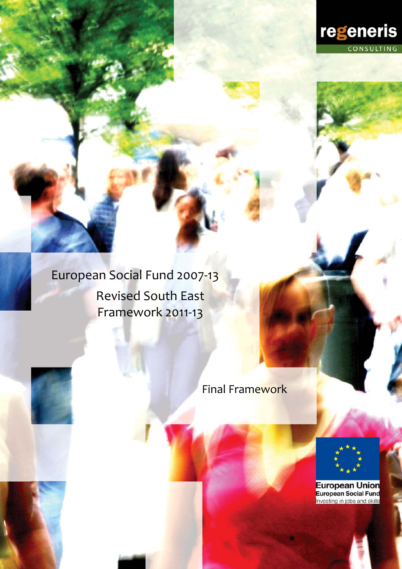

European Social Fund 2007‐13 Revised South East Framework 2011-13

Final Framework

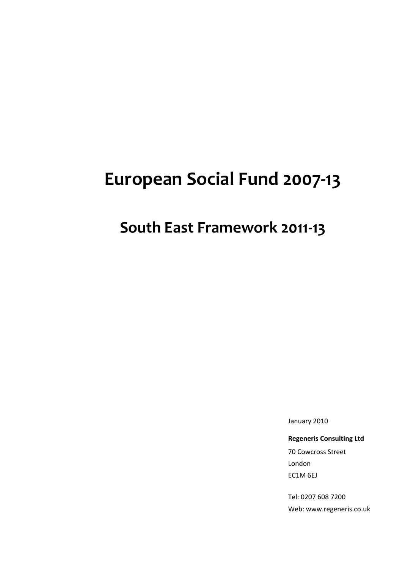# **European Social Fund 2007‐13**

## **South East Framework 2011‐13**

January 2010

**Regeneris Consulting Ltd**

70 Cowcross Street London EC1M 6EJ

Tel: 0207 608 7200 Web: www.regeneris.co.uk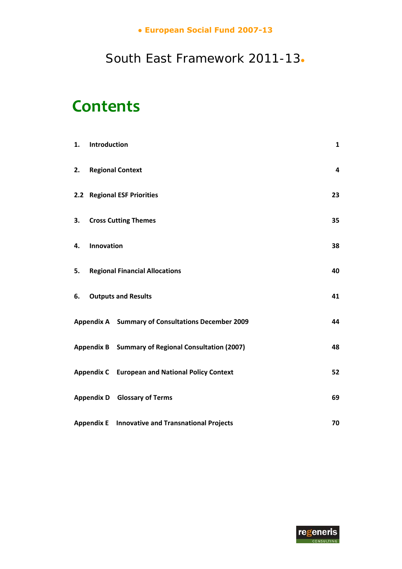## **● European Social Fund 2007-13**

## South East Framework 2011-13**●**

# **Contents**

| 1. | Introduction |                                                         | $\mathbf{1}$ |
|----|--------------|---------------------------------------------------------|--------------|
| 2. |              | <b>Regional Context</b>                                 | 4            |
|    |              | 2.2 Regional ESF Priorities                             | 23           |
| 3. |              | <b>Cross Cutting Themes</b>                             | 35           |
| 4. | Innovation   |                                                         | 38           |
| 5. |              | <b>Regional Financial Allocations</b>                   | 40           |
| 6. |              | <b>Outputs and Results</b>                              | 41           |
|    |              | Appendix A Summary of Consultations December 2009       | 44           |
|    |              | Appendix B Summary of Regional Consultation (2007)      | 48           |
|    |              | <b>Appendix C</b> European and National Policy Context  | 52           |
|    |              | <b>Appendix D</b> Glossary of Terms                     | 69           |
|    |              | <b>Appendix E</b> Innovative and Transnational Projects | 70           |

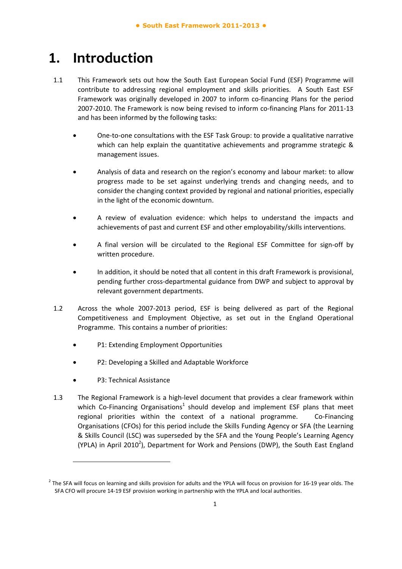## **1. Introduction**

- 1.1 This Framework sets out how the South East European Social Fund (ESF) Programme will contribute to addressing regional employment and skills priorities. A South East ESF Framework was originally developed in 2007 to inform co-financing Plans for the period 2007-2010. The Framework is now being revised to inform co-financing Plans for 2011-13 and has been informed by the following tasks:
	- One‐to‐one consultations with the ESF Task Group: to provide a qualitative narrative which can help explain the quantitative achievements and programme strategic & management issues.
	- Analysis of data and research on the region's economy and labour market: to allow progress made to be set against underlying trends and changing needs, and to consider the changing context provided by regional and national priorities, especially in the light of the economic downturn.
	- A review of evaluation evidence: which helps to understand the impacts and achievements of past and current ESF and other employability/skills interventions.
	- A final version will be circulated to the Regional ESF Committee for sign‐off by written procedure.
	- In addition, it should be noted that all content in this draft Framework is provisional, pending further cross‐departmental guidance from DWP and subject to approval by relevant government departments.
- 1.2 Across the whole 2007‐2013 period, ESF is being delivered as part of the Regional Competitiveness and Employment Objective, as set out in the England Operational Programme. This contains a number of priorities:
	- P1: Extending Employment Opportunities
	- P2: Developing a Skilled and Adaptable Workforce
	- P3: Technical Assistance

-

1.3 The Regional Framework is a high-level document that provides a clear framework within which Co-Financing Organisations<sup>1</sup> should develop and implement ESF plans that meet regional priorities within the context of a national programme. Co-Financing Organisations (CFOs) for this period include the Skills Funding Agency or SFA (the Learning & Skills Council (LSC) was superseded by the SFA and the Young People's Learning Agency (YPLA) in April 2010<sup>2</sup>), Department for Work and Pensions (DWP), the South East England

 $<sup>2</sup>$  The SFA will focus on learning and skills provision for adults and the YPLA will focus on provision for 16-19 year olds. The</sup> SFA CFO will procure 14-19 ESF provision working in partnership with the YPLA and local authorities.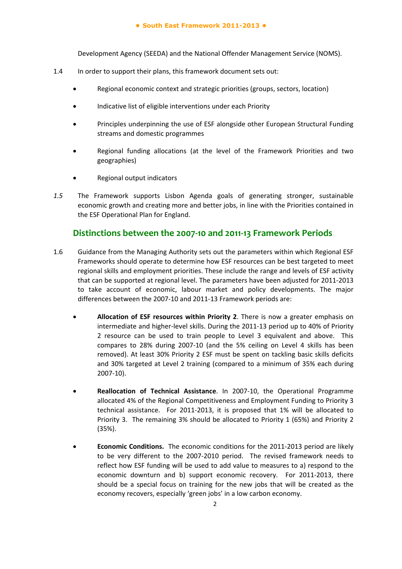#### **● South East Framework 2011-2013 ●**

Development Agency (SEEDA) and the National Offender Management Service (NOMS).

- 1.4 In order to support their plans, this framework document sets out:
	- Regional economic context and strategic priorities (groups, sectors, location)
	- Indicative list of eligible interventions under each Priority
	- Principles underpinning the use of ESF alongside other European Structural Funding streams and domestic programmes
	- Regional funding allocations (at the level of the Framework Priorities and two geographies)
	- Regional output indicators
- *1.5* The Framework supports Lisbon Agenda goals of generating stronger, sustainable economic growth and creating more and better jobs, in line with the Priorities contained in the ESF Operational Plan for England.

## **Distinctions between the 2007‐10 and 2011‐13 Framework Periods**

- 1.6 Guidance from the Managing Authority sets out the parameters within which Regional ESF Frameworks should operate to determine how ESF resources can be best targeted to meet regional skills and employment priorities. These include the range and levels of ESF activity that can be supported at regional level. The parameters have been adjusted for 2011‐2013 to take account of economic, labour market and policy developments. The major differences between the 2007‐10 and 2011‐13 Framework periods are:
	- **Allocation of ESF resources within Priority 2**. There is now a greater emphasis on intermediate and higher-level skills. During the 2011-13 period up to 40% of Priority 2 resource can be used to train people to Level 3 equivalent and above. This compares to 28% during 2007‐10 (and the 5% ceiling on Level 4 skills has been removed). At least 30% Priority 2 ESF must be spent on tackling basic skills deficits and 30% targeted at Level 2 training (compared to a minimum of 35% each during 2007‐10).
	- **Reallocation of Technical Assistance**. In 2007‐10, the Operational Programme allocated 4% of the Regional Competitiveness and Employment Funding to Priority 3 technical assistance. For 2011‐2013, it is proposed that 1% will be allocated to Priority 3. The remaining 3% should be allocated to Priority 1 (65%) and Priority 2 (35%).
	- **Economic Conditions.** The economic conditions for the 2011‐2013 period are likely to be very different to the 2007‐2010 period. The revised framework needs to reflect how ESF funding will be used to add value to measures to a) respond to the economic downturn and b) support economic recovery. For 2011-2013, there should be a special focus on training for the new jobs that will be created as the economy recovers, especially 'green jobs' in a low carbon economy.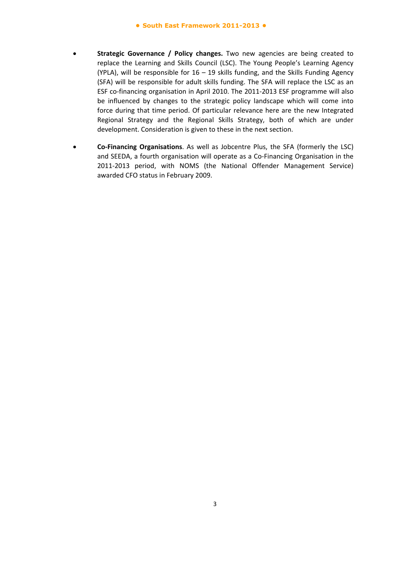- **Strategic Governance / Policy changes.** Two new agencies are being created to replace the Learning and Skills Council (LSC). The Young People's Learning Agency (YPLA), will be responsible for  $16 - 19$  skills funding, and the Skills Funding Agency (SFA) will be responsible for adult skills funding. The SFA will replace the LSC as an ESF co-financing organisation in April 2010. The 2011-2013 ESF programme will also be influenced by changes to the strategic policy landscape which will come into force during that time period. Of particular relevance here are the new Integrated Regional Strategy and the Regional Skills Strategy, both of which are under development. Consideration is given to these in the next section.
- **Co‐Financing Organisations**. As well as Jobcentre Plus, the SFA (formerly the LSC) and SEEDA, a fourth organisation will operate as a Co‐Financing Organisation in the 2011-2013 period, with NOMS (the National Offender Management Service) awarded CFO status in February 2009.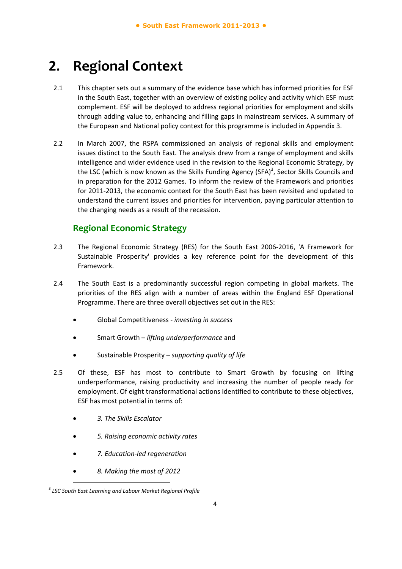## **2. Regional Context**

- 2.1 This chapter sets out a summary of the evidence base which has informed priorities for ESF in the South East, together with an overview of existing policy and activity which ESF must complement. ESF will be deployed to address regional priorities for employment and skills through adding value to, enhancing and filling gaps in mainstream services. A summary of the European and National policy context for this programme is included in Appendix 3.
- 2.2 In March 2007, the RSPA commissioned an analysis of regional skills and employment issues distinct to the South East. The analysis drew from a range of employment and skills intelligence and wider evidence used in the revision to the Regional Economic Strategy, by the LSC (which is now known as the Skills Funding Agency (SFA)<sup>3</sup>, Sector Skills Councils and in preparation for the 2012 Games. To inform the review of the Framework and priorities for 2011‐2013, the economic context for the South East has been revisited and updated to understand the current issues and priorities for intervention, paying particular attention to the changing needs as a result of the recession.

## **Regional Economic Strategy**

- 2.3 The Regional Economic Strategy (RES) for the South East 2006-2016, 'A Framework for Sustainable Prosperity' provides a key reference point for the development of this Framework.
- 2.4 The South East is a predominantly successful region competing in global markets. The priorities of the RES align with a number of areas within the England ESF Operational Programme. There are three overall objectives set out in the RES:
	- Global Competitiveness ‐ *investing in success*
	- Smart Growth *lifting underperformance* and
	- Sustainable Prosperity *supporting quality of life*
- 2.5 Of these, ESF has most to contribute to Smart Growth by focusing on lifting underperformance, raising productivity and increasing the number of people ready for employment. Of eight transformational actions identified to contribute to these objectives, ESF has most potential in terms of:
	- *3. The Skills Escalator*
	- *5. Raising economic activity rates*
	- *7. Education‐led regeneration*
	- *8. Making the most of 2012*

<sup>3</sup> *LSC South East Learning and Labour Market Regional Profile*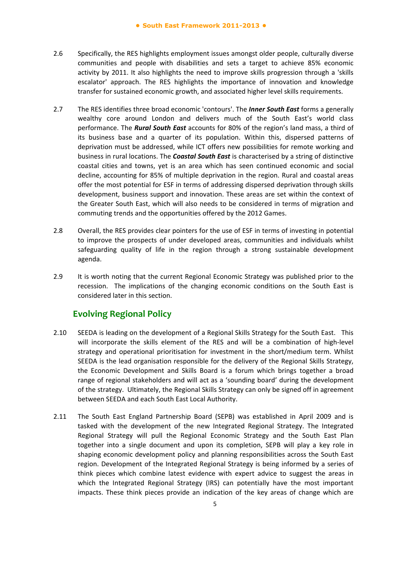- 2.6 Specifically, the RES highlights employment issues amongst older people, culturally diverse communities and people with disabilities and sets a target to achieve 85% economic activity by 2011. It also highlights the need to improve skills progression through a 'skills escalator' approach. The RES highlights the importance of innovation and knowledge transfer for sustained economic growth, and associated higher level skills requirements.
- 2.7 The RES identifies three broad economic 'contours'. The *Inner South East* forms a generally wealthy core around London and delivers much of the South East's world class performance. The *Rural South East* accounts for 80% of the region's land mass, a third of its business base and a quarter of its population. Within this, dispersed patterns of deprivation must be addressed, while ICT offers new possibilities for remote working and business in rural locations. The *Coastal South East* is characterised by a string of distinctive coastal cities and towns, yet is an area which has seen continued economic and social decline, accounting for 85% of multiple deprivation in the region. Rural and coastal areas offer the most potential for ESF in terms of addressing dispersed deprivation through skills development, business support and innovation. These areas are set within the context of the Greater South East, which will also needs to be considered in terms of migration and commuting trends and the opportunities offered by the 2012 Games.
- 2.8 Overall, the RES provides clear pointers for the use of ESF in terms of investing in potential to improve the prospects of under developed areas, communities and individuals whilst safeguarding quality of life in the region through a strong sustainable development agenda.
- 2.9 It is worth noting that the current Regional Economic Strategy was published prior to the recession. The implications of the changing economic conditions on the South East is considered later in this section.

## **Evolving Regional Policy**

- 2.10 SEEDA is leading on the development of a Regional Skills Strategy for the South East. This will incorporate the skills element of the RES and will be a combination of high-level strategy and operational prioritisation for investment in the short/medium term. Whilst SEEDA is the lead organisation responsible for the delivery of the Regional Skills Strategy, the Economic Development and Skills Board is a forum which brings together a broad range of regional stakeholders and will act as a 'sounding board' during the development of the strategy. Ultimately, the Regional Skills Strategy can only be signed off in agreement between SEEDA and each South East Local Authority.
- 2.11 The South East England Partnership Board (SEPB) was established in April 2009 and is tasked with the development of the new Integrated Regional Strategy. The Integrated Regional Strategy will pull the Regional Economic Strategy and the South East Plan together into a single document and upon its completion, SEPB will play a key role in shaping economic development policy and planning responsibilities across the South East region. Development of the Integrated Regional Strategy is being informed by a series of think pieces which combine latest evidence with expert advice to suggest the areas in which the Integrated Regional Strategy (IRS) can potentially have the most important impacts. These think pieces provide an indication of the key areas of change which are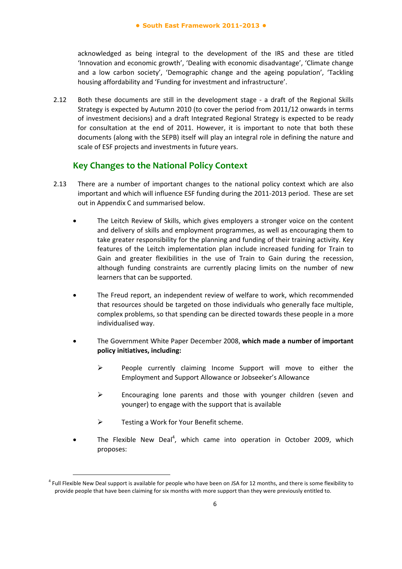acknowledged as being integral to the development of the IRS and these are titled 'Innovation and economic growth', 'Dealing with economic disadvantage', 'Climate change and a low carbon society', 'Demographic change and the ageing population', 'Tackling housing affordability and 'Funding for investment and infrastructure'.

2.12 Both these documents are still in the development stage - a draft of the Regional Skills Strategy is expected by Autumn 2010 (to cover the period from 2011/12 onwards in terms of investment decisions) and a draft Integrated Regional Strategy is expected to be ready for consultation at the end of 2011. However, it is important to note that both these documents (along with the SEPB) itself will play an integral role in defining the nature and scale of ESF projects and investments in future years.

## **Key Changes to the National Policy Context**

- 2.13 There are a number of important changes to the national policy context which are also important and which will influence ESF funding during the 2011‐2013 period. These are set out in Appendix C and summarised below.
	- The Leitch Review of Skills, which gives employers a stronger voice on the content and delivery of skills and employment programmes, as well as encouraging them to take greater responsibility for the planning and funding of their training activity. Key features of the Leitch implementation plan include increased funding for Train to Gain and greater flexibilities in the use of Train to Gain during the recession, although funding constraints are currently placing limits on the number of new learners that can be supported.
	- The Freud report, an independent review of welfare to work, which recommended that resources should be targeted on those individuals who generally face multiple, complex problems, so that spending can be directed towards these people in a more individualised way.
	- The Government White Paper December 2008, **which made a number of important policy initiatives, including:**
		- People currently claiming Income Support will move to either the Employment and Support Allowance or Jobseeker's Allowance
		- $\triangleright$  Encouraging lone parents and those with younger children (seven and younger) to engage with the support that is available
		- $\triangleright$  Testing a Work for Your Benefit scheme.

-

 $\bullet$  The Flexible New Deal<sup>4</sup>, which came into operation in October 2009, which proposes:

<sup>&</sup>lt;sup>4</sup> Full Flexible New Deal support is available for people who have been on JSA for 12 months, and there is some flexibility to provide people that have been claiming for six months with more support than they were previously entitled to.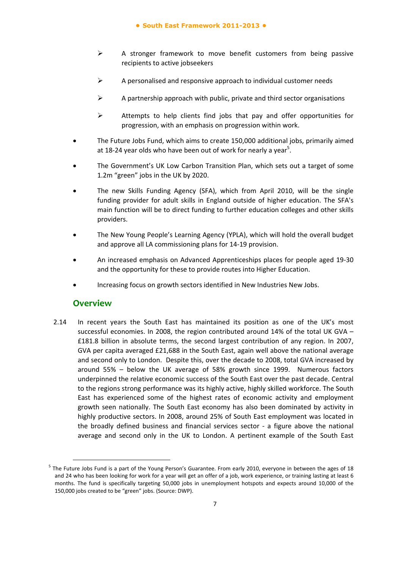#### **● South East Framework 2011-2013 ●**

- $\triangleright$  A stronger framework to move benefit customers from being passive recipients to active jobseekers
- $\triangleright$  A personalised and responsive approach to individual customer needs
- $\triangleright$  A partnership approach with public, private and third sector organisations
- $\triangleright$  Attempts to help clients find jobs that pay and offer opportunities for progression, with an emphasis on progression within work.
- The Future Jobs Fund, which aims to create 150,000 additional jobs, primarily aimed at 18-24 year olds who have been out of work for nearly a year<sup>5</sup>.
- The Government's UK Low Carbon Transition Plan, which sets out a target of some 1.2m "green" jobs in the UK by 2020.
- The new Skills Funding Agency (SFA), which from April 2010, will be the single funding provider for adult skills in England outside of higher education. The SFA's main function will be to direct funding to further education colleges and other skills providers.
- The New Young People's Learning Agency (YPLA), which will hold the overall budget and approve all LA commissioning plans for 14‐19 provision.
- An increased emphasis on Advanced Apprenticeships places for people aged 19‐30 and the opportunity for these to provide routes into Higher Education.
- Increasing focus on growth sectors identified in New Industries New Jobs.

## **Overview**

-

2.14 In recent years the South East has maintained its position as one of the UK's most successful economies. In 2008, the region contributed around 14% of the total UK GVA – £181.8 billion in absolute terms, the second largest contribution of any region. In 2007, GVA per capita averaged £21,688 in the South East, again well above the national average and second only to London. Despite this, over the decade to 2008, total GVA increased by around 55% – below the UK average of 58% growth since 1999. Numerous factors underpinned the relative economic success of the South East over the past decade. Central to the regions strong performance was its highly active, highly skilled workforce. The South East has experienced some of the highest rates of economic activity and employment growth seen nationally. The South East economy has also been dominated by activity in highly productive sectors. In 2008, around 25% of South East employment was located in the broadly defined business and financial services sector - a figure above the national average and second only in the UK to London. A pertinent example of the South East

 $5$  The Future Jobs Fund is a part of the Young Person's Guarantee. From early 2010, everyone in between the ages of 18 and 24 who has been looking for work for a year will get an offer of a job, work experience, or training lasting at least 6 months. The fund is specifically targeting 50,000 jobs in unemployment hotspots and expects around 10,000 of the 150,000 jobs created to be "green" jobs. (Source: DWP).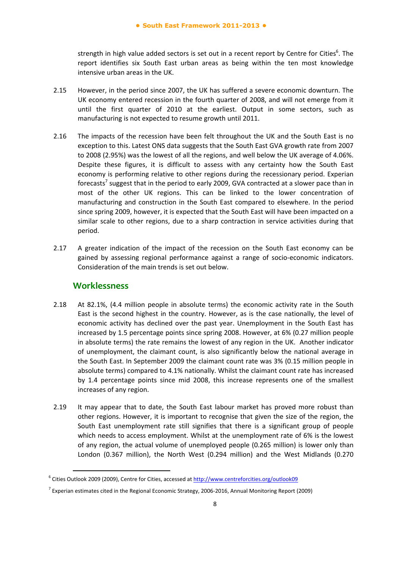strength in high value added sectors is set out in a recent report by Centre for Cities<sup>6</sup>. The report identifies six South East urban areas as being within the ten most knowledge intensive urban areas in the UK.

- 2.15 However, in the period since 2007, the UK has suffered a severe economic downturn. The UK economy entered recession in the fourth quarter of 2008, and will not emerge from it until the first quarter of 2010 at the earliest. Output in some sectors, such as manufacturing is not expected to resume growth until 2011.
- 2.16 The impacts of the recession have been felt throughout the UK and the South East is no exception to this. Latest ONS data suggests that the South East GVA growth rate from 2007 to 2008 (2.95%) was the lowest of all the regions, and well below the UK average of 4.06%. Despite these figures, it is difficult to assess with any certainty how the South East economy is performing relative to other regions during the recessionary period. Experian forecasts<sup>7</sup> suggest that in the period to early 2009, GVA contracted at a slower pace than in most of the other UK regions. This can be linked to the lower concentration of manufacturing and construction in the South East compared to elsewhere. In the period since spring 2009, however, it is expected that the South East will have been impacted on a similar scale to other regions, due to a sharp contraction in service activities during that period.
- 2.17 A greater indication of the impact of the recession on the South East economy can be gained by assessing regional performance against a range of socio‐economic indicators. Consideration of the main trends is set out below.

#### **Worklessness**

- 2.18 At 82.1%, (4.4 million people in absolute terms) the economic activity rate in the South East is the second highest in the country. However, as is the case nationally, the level of economic activity has declined over the past year. Unemployment in the South East has increased by 1.5 percentage points since spring 2008. However, at 6% (0.27 million people in absolute terms) the rate remains the lowest of any region in the UK. Another indicator of unemployment, the claimant count, is also significantly below the national average in the South East. In September 2009 the claimant count rate was 3% (0.15 million people in absolute terms) compared to 4.1% nationally. Whilst the claimant count rate has increased by 1.4 percentage points since mid 2008, this increase represents one of the smallest increases of any region.
- 2.19 It may appear that to date, the South East labour market has proved more robust than other regions. However, it is important to recognise that given the size of the region, the South East unemployment rate still signifies that there is a significant group of people which needs to access employment. Whilst at the unemployment rate of 6% is the lowest of any region, the actual volume of unemployed people (0.265 million) is lower only than London (0.367 million), the North West (0.294 million) and the West Midlands (0.270

<sup>&</sup>lt;sup>6</sup> Cities Outlook 2009 (2009), Centre for Cities, accessed at http://www.centreforcities.org/outlook09

<sup>7</sup> Experian estimates cited in the Regional Economic Strategy, 2006‐2016, Annual Monitoring Report (2009)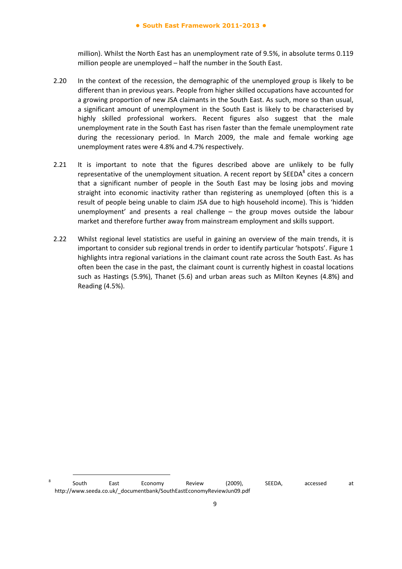million). Whilst the North East has an unemployment rate of 9.5%, in absolute terms 0.119 million people are unemployed – half the number in the South East.

- 2.20 In the context of the recession, the demographic of the unemployed group is likely to be different than in previous years. People from higher skilled occupations have accounted for a growing proportion of new JSA claimants in the South East. As such, more so than usual, a significant amount of unemployment in the South East is likely to be characterised by highly skilled professional workers. Recent figures also suggest that the male unemployment rate in the South East has risen faster than the female unemployment rate during the recessionary period. In March 2009, the male and female working age unemployment rates were 4.8% and 4.7% respectively.
- 2.21 It is important to note that the figures described above are unlikely to be fully representative of the unemployment situation. A recent report by  $SEEDA<sup>8</sup>$  cites a concern that a significant number of people in the South East may be losing jobs and moving straight into economic inactivity rather than registering as unemployed (often this is a result of people being unable to claim JSA due to high household income). This is 'hidden unemployment' and presents a real challenge – the group moves outside the labour market and therefore further away from mainstream employment and skills support.
- 2.22 Whilst regional level statistics are useful in gaining an overview of the main trends, it is important to consider sub regional trends in order to identify particular 'hotspots'. Figure 1 highlights intra regional variations in the claimant count rate across the South East. As has often been the case in the past, the claimant count is currently highest in coastal locations such as Hastings (5.9%), Thanet (5.6) and urban areas such as Milton Keynes (4.8%) and Reading (4.5%).

<sup>&</sup>lt;sup>8</sup> South East Economy Review (2009), SEEDA, accessed at http://www.seeda.co.uk/\_documentbank/SouthEastEconomyReviewJun09.pdf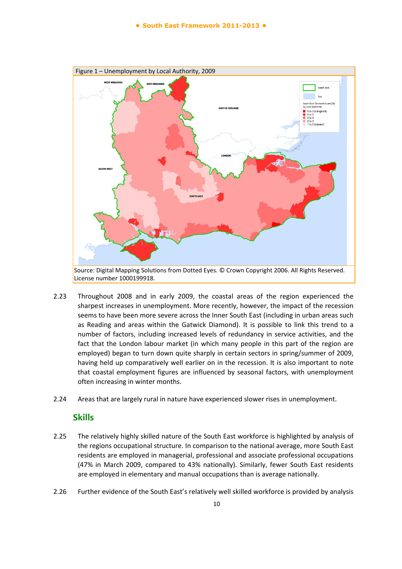

- 2.23 Throughout 2008 and in early 2009, the coastal areas of the region experienced the sharpest increases in unemployment. More recently, however, the impact of the recession seems to have been more severe across the Inner South East (including in urban areas such as Reading and areas within the Gatwick Diamond). It is possible to link this trend to a number of factors, including increased levels of redundancy in service activities, and the fact that the London labour market (in which many people in this part of the region are employed) began to turn down quite sharply in certain sectors in spring/summer of 2009, having held up comparatively well earlier on in the recession. It is also important to note that coastal employment figures are influenced by seasonal factors, with unemployment often increasing in winter months.
- 2.24 Areas that are largely rural in nature have experienced slower rises in unemployment.

## **Skills**

- 2.25 The relatively highly skilled nature of the South East workforce is highlighted by analysis of the regions occupational structure. In comparison to the national average, more South East residents are employed in managerial, professional and associate professional occupations (47% in March 2009, compared to 43% nationally). Similarly, fewer South East residents are employed in elementary and manual occupations than is average nationally.
- 2.26 Further evidence of the South East's relatively well skilled workforce is provided by analysis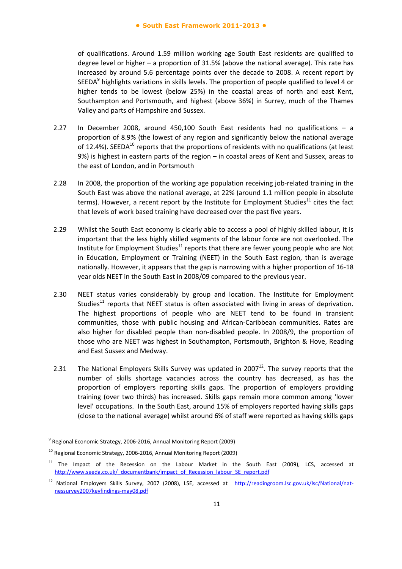of qualifications. Around 1.59 million working age South East residents are qualified to degree level or higher – a proportion of 31.5% (above the national average). This rate has increased by around 5.6 percentage points over the decade to 2008. A recent report by SEEDA<sup>9</sup> highlights variations in skills levels. The proportion of people qualified to level 4 or higher tends to be lowest (below 25%) in the coastal areas of north and east Kent, Southampton and Portsmouth, and highest (above 36%) in Surrey, much of the Thames Valley and parts of Hampshire and Sussex.

- 2.27 In December 2008, around 450,100 South East residents had no qualifications a proportion of 8.9% (the lowest of any region and significantly below the national average of 12.4%). SEEDA<sup>10</sup> reports that the proportions of residents with no qualifications (at least 9%) is highest in eastern parts of the region – in coastal areas of Kent and Sussex, areas to the east of London, and in Portsmouth
- 2.28 In 2008, the proportion of the working age population receiving job-related training in the South East was above the national average, at 22% (around 1.1 million people in absolute terms). However, a recent report by the Institute for Employment Studies $^{11}$  cites the fact that levels of work based training have decreased over the past five years.
- 2.29 Whilst the South East economy is clearly able to access a pool of highly skilled labour, it is important that the less highly skilled segments of the labour force are not overlooked. The Institute for Employment Studies $^{11}$  reports that there are fewer young people who are Not in Education, Employment or Training (NEET) in the South East region, than is average nationally. However, it appears that the gap is narrowing with a higher proportion of 16‐18 year olds NEET in the South East in 2008/09 compared to the previous year.
- 2.30 NEET status varies considerably by group and location. The Institute for Employment Studies<sup>11</sup> reports that NEET status is often associated with living in areas of deprivation. The highest proportions of people who are NEET tend to be found in transient communities, those with public housing and African‐Caribbean communities. Rates are also higher for disabled people than non‐disabled people. In 2008/9, the proportion of those who are NEET was highest in Southampton, Portsmouth, Brighton & Hove, Reading and East Sussex and Medway.
- 2.31 The National Employers Skills Survey was updated in 2007 $^{12}$ . The survey reports that the number of skills shortage vacancies across the country has decreased, as has the proportion of employers reporting skills gaps. The proportion of employers providing training (over two thirds) has increased. Skills gaps remain more common among 'lower level' occupations. In the South East, around 15% of employers reported having skills gaps (close to the national average) whilst around 6% of staff were reported as having skills gaps

<sup>9</sup> Regional Economic Strategy, 2006‐2016, Annual Monitoring Report (2009)

<sup>&</sup>lt;sup>10</sup> Regional Economic Strategy, 2006-2016, Annual Monitoring Report (2009)

<sup>&</sup>lt;sup>11</sup> The Impact of the Recession on the Labour Market in the South East (2009), LCS, accessed at http://www.seeda.co.uk/ documentbank/impact\_of\_Recession\_labour\_SE\_report.pdf

<sup>&</sup>lt;sup>12</sup> National Employers Skills Survey, 2007 (2008), LSE, accessed at http://readingroom.lsc.gov.uk/lsc/National/natnessurvey2007keyfindings‐may08.pdf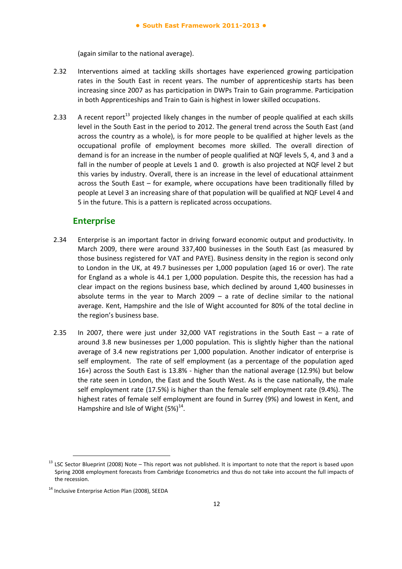(again similar to the national average).

- 2.32 Interventions aimed at tackling skills shortages have experienced growing participation rates in the South East in recent years. The number of apprenticeship starts has been increasing since 2007 as has participation in DWPs Train to Gain programme. Participation in both Apprenticeships and Train to Gain is highest in lower skilled occupations.
- 2.33 A recent report<sup>13</sup> projected likely changes in the number of people qualified at each skills level in the South East in the period to 2012. The general trend across the South East (and across the country as a whole), is for more people to be qualified at higher levels as the occupational profile of employment becomes more skilled. The overall direction of demand is for an increase in the number of people qualified at NQF levels 5, 4, and 3 and a fall in the number of people at Levels 1 and 0. growth is also projected at NQF level 2 but this varies by industry. Overall, there is an increase in the level of educational attainment across the South East – for example, where occupations have been traditionally filled by people at Level 3 an increasing share of that population will be qualified at NQF Level 4 and 5 in the future. This is a pattern is replicated across occupations.

#### **Enterprise**

- 2.34 Enterprise is an important factor in driving forward economic output and productivity. In March 2009, there were around 337,400 businesses in the South East (as measured by those business registered for VAT and PAYE). Business density in the region is second only to London in the UK, at 49.7 businesses per 1,000 population (aged 16 or over). The rate for England as a whole is 44.1 per 1,000 population. Despite this, the recession has had a clear impact on the regions business base, which declined by around 1,400 businesses in absolute terms in the year to March 2009 – a rate of decline similar to the national average. Kent, Hampshire and the Isle of Wight accounted for 80% of the total decline in the region's business base.
- 2.35 In 2007, there were just under 32,000 VAT registrations in the South East a rate of around 3.8 new businesses per 1,000 population. This is slightly higher than the national average of 3.4 new registrations per 1,000 population. Another indicator of enterprise is self employment. The rate of self employment (as a percentage of the population aged 16+) across the South East is 13.8% ‐ higher than the national average (12.9%) but below the rate seen in London, the East and the South West. As is the case nationally, the male self employment rate (17.5%) is higher than the female self employment rate (9.4%). The highest rates of female self employment are found in Surrey (9%) and lowest in Kent, and Hampshire and Isle of Wight  $(5%)^{14}$ .

 $13$  LSC Sector Blueprint (2008) Note – This report was not published. It is important to note that the report is based upon Spring 2008 employment forecasts from Cambridge Econometrics and thus do not take into account the full impacts of the recession.

<sup>&</sup>lt;sup>14</sup> Inclusive Enterprise Action Plan (2008), SEEDA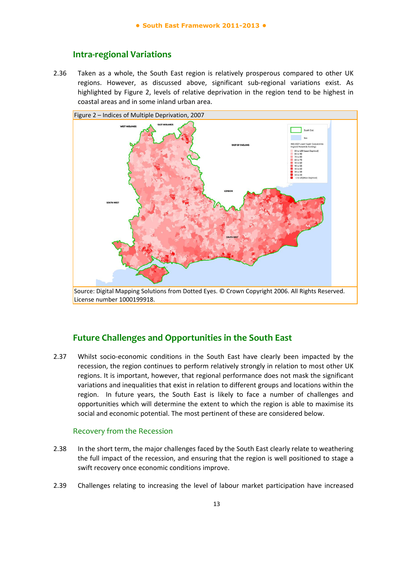## **Intra‐regional Variations**

2.36 Taken as a whole, the South East region is relatively prosperous compared to other UK regions. However, as discussed above, significant sub-regional variations exist. As highlighted by Figure 2, levels of relative deprivation in the region tend to be highest in coastal areas and in some inland urban area.



License number 1000199918.

## **Future Challenges and Opportunities in the South East**

2.37 Whilst socio-economic conditions in the South East have clearly been impacted by the recession, the region continues to perform relatively strongly in relation to most other UK regions. It is important, however, that regional performance does not mask the significant variations and inequalities that exist in relation to different groups and locations within the region. In future years, the South East is likely to face a number of challenges and opportunities which will determine the extent to which the region is able to maximise its social and economic potential. The most pertinent of these are considered below.

#### Recovery from the Recession

- 2.38 In the short term, the major challenges faced by the South East clearly relate to weathering the full impact of the recession, and ensuring that the region is well positioned to stage a swift recovery once economic conditions improve.
- 2.39 Challenges relating to increasing the level of labour market participation have increased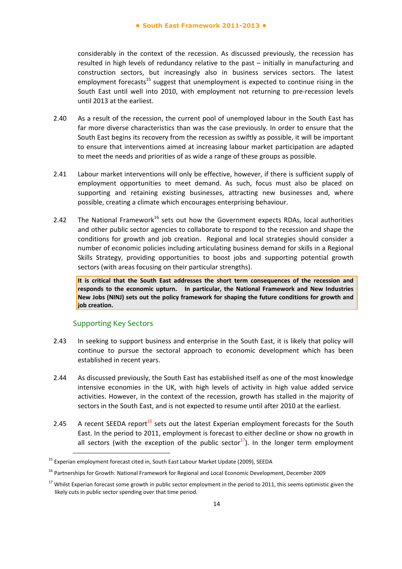considerably in the context of the recession. As discussed previously, the recession has resulted in high levels of redundancy relative to the past – initially in manufacturing and construction sectors, but increasingly also in business services sectors. The latest employment forecasts<sup>15</sup> suggest that unemployment is expected to continue rising in the South East until well into 2010, with employment not returning to pre‐recession levels until 2013 at the earliest.

- 2.40 As a result of the recession, the current pool of unemployed labour in the South East has far more diverse characteristics than was the case previously. In order to ensure that the South East begins its recovery from the recession as swiftly as possible, it will be important to ensure that interventions aimed at increasing labour market participation are adapted to meet the needs and priorities of as wide a range of these groups as possible.
- 2.41 Labour market interventions will only be effective, however, if there is sufficient supply of employment opportunities to meet demand. As such, focus must also be placed on supporting and retaining existing businesses, attracting new businesses and, where possible, creating a climate which encourages enterprising behaviour.
- 2.42 The National Framework<sup>16</sup> sets out how the Government expects RDAs, local authorities and other public sector agencies to collaborate to respond to the recession and shape the conditions for growth and job creation. Regional and local strategies should consider a number of economic policies including articulating business demand for skills in a Regional Skills Strategy, providing opportunities to boost jobs and supporting potential growth sectors (with areas focusing on their particular strengths).

**It is critical that the South East addresses the short term consequences of the recession and responds to the economic upturn. In particular, the National Framework and New Industries New Jobs (NINJ) sets out the policy framework for shaping the future conditions for growth and job creation.**

#### Supporting Key Sectors

- 2.43 In seeking to support business and enterprise in the South East, it is likely that policy will continue to pursue the sectoral approach to economic development which has been established in recent years.
- 2.44 As discussed previously, the South East has established itself as one of the most knowledge intensive economies in the UK, with high levels of activity in high value added service activities. However, in the context of the recession, growth has stalled in the majority of sectors in the South East, and is not expected to resume until after 2010 at the earliest.
- 2.45 A recent SEEDA report<sup>15</sup> sets out the latest Experian employment forecasts for the South East. In the period to 2011, employment is forecast to either decline or show no growth in all sectors (with the exception of the public sector<sup>17</sup>). In the longer term employment

<sup>&</sup>lt;sup>15</sup> Experian employment forecast cited in, South East Labour Market Update (2009), SEEDA

<sup>&</sup>lt;sup>16</sup> Partnerships for Growth: National Framework for Regional and Local Economic Development, December 2009

 $17$  Whilst Experian forecast some growth in public sector employment in the period to 2011, this seems optimistic given the likely cuts in public sector spending over that time period.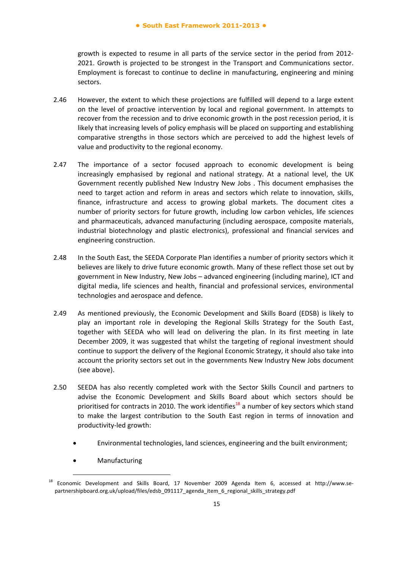growth is expected to resume in all parts of the service sector in the period from 2012‐ 2021. Growth is projected to be strongest in the Transport and Communications sector. Employment is forecast to continue to decline in manufacturing, engineering and mining sectors.

- 2.46 However, the extent to which these projections are fulfilled will depend to a large extent on the level of proactive intervention by local and regional government. In attempts to recover from the recession and to drive economic growth in the post recession period, it is likely that increasing levels of policy emphasis will be placed on supporting and establishing comparative strengths in those sectors which are perceived to add the highest levels of value and productivity to the regional economy.
- 2.47 The importance of a sector focused approach to economic development is being increasingly emphasised by regional and national strategy. At a national level, the UK Government recently published New Industry New Jobs . This document emphasises the need to target action and reform in areas and sectors which relate to innovation, skills, finance, infrastructure and access to growing global markets. The document cites a number of priority sectors for future growth, including low carbon vehicles, life sciences and pharmaceuticals, advanced manufacturing (including aerospace, composite materials, industrial biotechnology and plastic electronics), professional and financial services and engineering construction.
- 2.48 In the South East, the SEEDA Corporate Plan identifies a number of priority sectors which it believes are likely to drive future economic growth. Many of these reflect those set out by government in New Industry, New Jobs – advanced engineering (including marine), ICT and digital media, life sciences and health, financial and professional services, environmental technologies and aerospace and defence.
- 2.49 As mentioned previously, the Economic Development and Skills Board (EDSB) is likely to play an important role in developing the Regional Skills Strategy for the South East, together with SEEDA who will lead on delivering the plan. In its first meeting in late December 2009, it was suggested that whilst the targeting of regional investment should continue to support the delivery of the Regional Economic Strategy, it should also take into account the priority sectors set out in the governments New Industry New Jobs document (see above).
- 2.50 SEEDA has also recently completed work with the Sector Skills Council and partners to advise the Economic Development and Skills Board about which sectors should be prioritised for contracts in 2010. The work identifies<sup>18</sup> a number of key sectors which stand to make the largest contribution to the South East region in terms of innovation and productivity‐led growth:
	- Environmental technologies, land sciences, engineering and the built environment;
	- Manufacturing

<sup>&</sup>lt;sup>18</sup> Economic Development and Skills Board, 17 November 2009 Agenda Item 6, accessed at http://www.separtnershipboard.org.uk/upload/files/edsb\_091117\_agenda\_item\_6\_regional\_skills\_strategy.pdf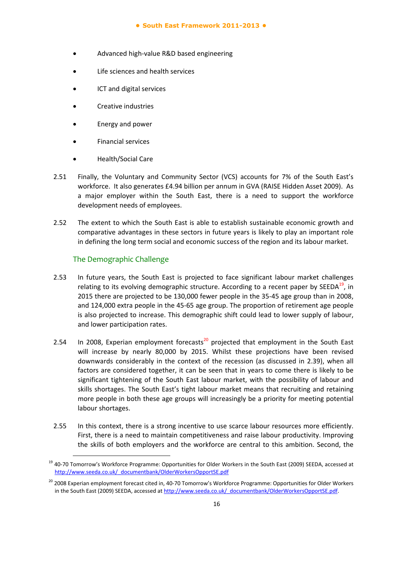- Advanced high‐value R&D based engineering
- Life sciences and health services
- ICT and digital services
- Creative industries
- Energy and power
- Financial services
- Health/Social Care
- 2.51 Finally, the Voluntary and Community Sector (VCS) accounts for 7% of the South East's workforce. It also generates £4.94 billion per annum in GVA (RAISE Hidden Asset 2009). As a major employer within the South East, there is a need to support the workforce development needs of employees.
- 2.52 The extent to which the South East is able to establish sustainable economic growth and comparative advantages in these sectors in future years is likely to play an important role in defining the long term social and economic success of the region and its labour market.

#### The Demographic Challenge

- 2.53 In future years, the South East is projected to face significant labour market challenges relating to its evolving demographic structure. According to a recent paper by  $SEEDA^{19}$ , in 2015 there are projected to be 130,000 fewer people in the 35‐45 age group than in 2008, and 124,000 extra people in the 45‐65 age group. The proportion of retirement age people is also projected to increase. This demographic shift could lead to lower supply of labour, and lower participation rates.
- 2.54 In 2008, Experian employment forecasts<sup>20</sup> projected that employment in the South East will increase by nearly 80,000 by 2015. Whilst these projections have been revised downwards considerably in the context of the recession (as discussed in 2.39), when all factors are considered together, it can be seen that in years to come there is likely to be significant tightening of the South East labour market, with the possibility of labour and skills shortages. The South East's tight labour market means that recruiting and retaining more people in both these age groups will increasingly be a priority for meeting potential labour shortages.
- 2.55 In this context, there is a strong incentive to use scarce labour resources more efficiently. First, there is a need to maintain competitiveness and raise labour productivity. Improving the skills of both employers and the workforce are central to this ambition. Second, the

<sup>&</sup>lt;sup>19</sup> 40-70 Tomorrow's Workforce Programme: Opportunities for Older Workers in the South East (2009) SEEDA, accessed at http://www.seeda.co.uk/\_documentbank/OlderWorkersOpportSE.pdf

<sup>&</sup>lt;sup>20</sup> 2008 Experian employment forecast cited in, 40-70 Tomorrow's Workforce Programme: Opportunities for Older Workers in the South East (2009) SEEDA, accessed at http://www.seeda.co.uk/\_documentbank/OlderWorkersOpportSE.pdf.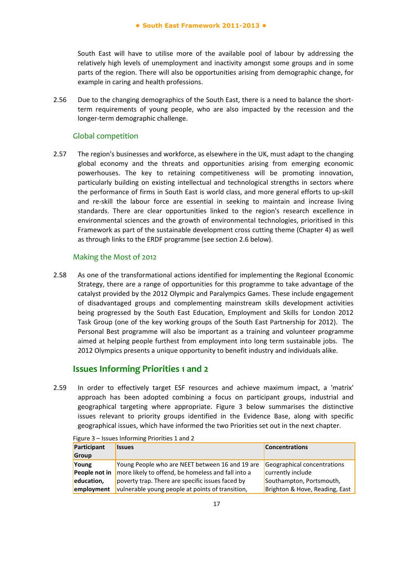South East will have to utilise more of the available pool of labour by addressing the relatively high levels of unemployment and inactivity amongst some groups and in some parts of the region. There will also be opportunities arising from demographic change, for example in caring and health professions.

2.56 Due to the changing demographics of the South East, there is a need to balance the shortterm requirements of young people, who are also impacted by the recession and the longer‐term demographic challenge.

#### Global competition

2.57 The region's businesses and workforce, as elsewhere in the UK, must adapt to the changing global economy and the threats and opportunities arising from emerging economic powerhouses. The key to retaining competitiveness will be promoting innovation, particularly building on existing intellectual and technological strengths in sectors where the performance of firms in South East is world class, and more general efforts to up‐skill and re-skill the labour force are essential in seeking to maintain and increase living standards. There are clear opportunities linked to the region's research excellence in environmental sciences and the growth of environmental technologies, prioritised in this Framework as part of the sustainable development cross cutting theme (Chapter 4) as well as through links to the ERDF programme (see section 2.6 below).

#### Making the Most of 2012

2.58 As one of the transformational actions identified for implementing the Regional Economic Strategy, there are a range of opportunities for this programme to take advantage of the catalyst provided by the 2012 Olympic and Paralympics Games. These include engagement of disadvantaged groups and complementing mainstream skills development activities being progressed by the South East Education, Employment and Skills for London 2012 Task Group (one of the key working groups of the South East Partnership for 2012). The Personal Best programme will also be important as a training and volunteer programme aimed at helping people furthest from employment into long term sustainable jobs. The 2012 Olympics presents a unique opportunity to benefit industry and individuals alike.

## **Issues Informing Priorities 1 and 2**

2.59 In order to effectively target ESF resources and achieve maximum impact, a 'matrix' approach has been adopted combining a focus on participant groups, industrial and geographical targeting where appropriate. Figure 3 below summarises the distinctive issues relevant to priority groups identified in the Evidence Base, along with specific geographical issues, which have informed the two Priorities set out in the next chapter.

| Participant   | <b>Issues</b>                                      | Concentrations                 |
|---------------|----------------------------------------------------|--------------------------------|
| Group         |                                                    |                                |
| Young         | Young People who are NEET between 16 and 19 are    | Geographical concentrations    |
| People not in | more likely to offend, be homeless and fall into a | currently include              |
| education,    | poverty trap. There are specific issues faced by   | Southampton, Portsmouth,       |
| employment    | vulnerable young people at points of transition,   | Brighton & Hove, Reading, East |

Figure 3 – Issues Informing Priorities 1 and 2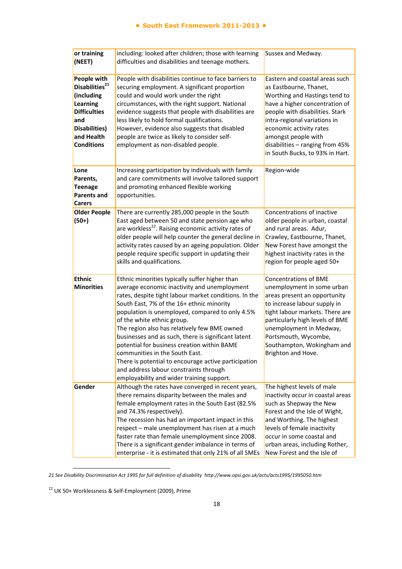| or training<br>(NEET)                                                                                                                                 | including: looked after children; those with learning<br>difficulties and disabilities and teenage mothers.                                                                                                                                                                                                                                                                                                                                                                                                                                                                                                                  | Sussex and Medway.                                                                                                                                                                                                                                                                                                     |
|-------------------------------------------------------------------------------------------------------------------------------------------------------|------------------------------------------------------------------------------------------------------------------------------------------------------------------------------------------------------------------------------------------------------------------------------------------------------------------------------------------------------------------------------------------------------------------------------------------------------------------------------------------------------------------------------------------------------------------------------------------------------------------------------|------------------------------------------------------------------------------------------------------------------------------------------------------------------------------------------------------------------------------------------------------------------------------------------------------------------------|
| People with<br>Disabilities <sup>21</sup><br>(including<br>Learning<br><b>Difficulties</b><br>and<br>Disabilities)<br>and Health<br><b>Conditions</b> | People with disabilities continue to face barriers to<br>securing employment. A significant proportion<br>could and would work under the right<br>circumstances, with the right support. National<br>evidence suggests that people with disabilities are<br>less likely to hold formal qualifications.<br>However, evidence also suggests that disabled<br>people are twice as likely to consider self-<br>employment as non-disabled people.                                                                                                                                                                                | Eastern and coastal areas such<br>as Eastbourne, Thanet,<br>Worthing and Hastings tend to<br>have a higher concentration of<br>people with disabilities. Stark<br>intra-regional variations in<br>economic activity rates<br>amongst people with<br>disabilities - ranging from 45%<br>in South Bucks, to 93% in Hart. |
| Lone<br>Parents,<br><b>Teenage</b><br><b>Parents and</b><br><b>Carers</b>                                                                             | Increasing participation by individuals with family<br>and care commitments will involve tailored support<br>and promoting enhanced flexible working<br>opportunities.                                                                                                                                                                                                                                                                                                                                                                                                                                                       | Region-wide                                                                                                                                                                                                                                                                                                            |
| <b>Older People</b><br>$(50+)$                                                                                                                        | There are currently 285,000 people in the South<br>East aged between 50 and state pension age who<br>are workless <sup>22</sup> . Raising economic activity rates of<br>older people will help counter the general decline in<br>activity rates caused by an ageing population. Older<br>people require specific support in updating their<br>skills and qualifications.                                                                                                                                                                                                                                                     | Concentrations of inactive<br>older people in urban, coastal<br>and rural areas. Adur,<br>Crawley, Eastbourne, Thanet,<br>New Forest have amongst the<br>highest inactivity rates in the<br>region for people aged 50+                                                                                                 |
| <b>Ethnic</b><br><b>Minorities</b>                                                                                                                    | Ethnic minorities typically suffer higher than<br>average economic inactivity and unemployment<br>rates, despite tight labour market conditions. In the<br>South East, 7% of the 16+ ethnic minority<br>population is unemployed, compared to only 4.5%<br>of the white ethnic group.<br>The region also has relatively few BME owned<br>businesses and as such, there is significant latent<br>potential for business creation within BAME<br>communities in the South East.<br>There is potential to encourage active participation<br>and address labour constraints through<br>employability and wider training support. | <b>Concentrations of BME</b><br>unemployment in some urban<br>areas present an opportunity<br>to increase labour supply in<br>tight labour markets. There are<br>particularly high levels of BME<br>unemployment in Medway,<br>Portsmouth, Wycombe,<br>Southampton, Wokingham and<br>Brighton and Hove.                |
| Gender                                                                                                                                                | Although the rates have converged in recent years,<br>there remains disparity between the males and<br>female employment rates in the South East (82.5%<br>and 74.3% respectively).<br>The recession has had an important impact in this<br>respect - male unemployment has risen at a much<br>faster rate than female unemployment since 2008.<br>There is a significant gender imbalance in terms of<br>enterprise - it is estimated that only 21% of all SMEs                                                                                                                                                             | The highest levels of male<br>inactivity occur in coastal areas<br>such as Shepway the New<br>Forest and the Isle of Wight,<br>and Worthing. The highest<br>levels of female inactivity<br>occur in some coastal and<br>urban areas, including Rother,<br>New Forest and the Isle of                                   |

*21 See Disability Discrimination Act 1995 for full definition of disability http://www.opsi.gov.uk/acts/acts1995/1995050.htm*

<sup>22</sup> UK 50+ Worklessness & Self‐Employment (2009), Prime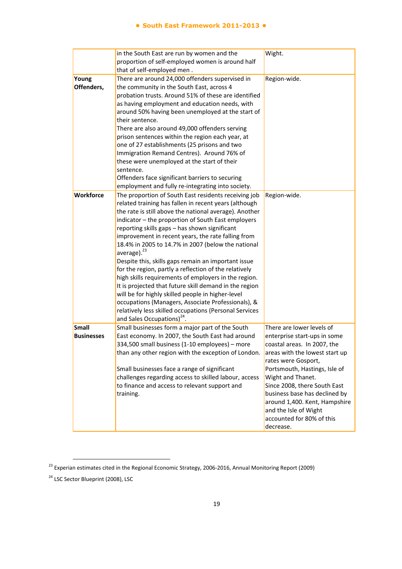#### **● South East Framework 2011-2013 ●**

|                                   | in the South East are run by women and the<br>proportion of self-employed women is around half<br>that of self-employed men.                                                                                                                                                                                                                                                                                                                                                                                                                                                                                                                                                                                                                                                                                                                                           | Wight.                                                                                                                                                                                                                                                                                                                                                                       |
|-----------------------------------|------------------------------------------------------------------------------------------------------------------------------------------------------------------------------------------------------------------------------------------------------------------------------------------------------------------------------------------------------------------------------------------------------------------------------------------------------------------------------------------------------------------------------------------------------------------------------------------------------------------------------------------------------------------------------------------------------------------------------------------------------------------------------------------------------------------------------------------------------------------------|------------------------------------------------------------------------------------------------------------------------------------------------------------------------------------------------------------------------------------------------------------------------------------------------------------------------------------------------------------------------------|
| Young<br>Offenders,               | There are around 24,000 offenders supervised in<br>the community in the South East, across 4<br>probation trusts. Around 51% of these are identified<br>as having employment and education needs, with<br>around 50% having been unemployed at the start of<br>their sentence.<br>There are also around 49,000 offenders serving<br>prison sentences within the region each year, at<br>one of 27 establishments (25 prisons and two<br>Immigration Remand Centres). Around 76% of<br>these were unemployed at the start of their<br>sentence.<br>Offenders face significant barriers to securing<br>employment and fully re-integrating into society.                                                                                                                                                                                                                 | Region-wide.                                                                                                                                                                                                                                                                                                                                                                 |
| Workforce                         | The proportion of South East residents receiving job<br>related training has fallen in recent years (although<br>the rate is still above the national average). Another<br>indicator - the proportion of South East employers<br>reporting skills gaps - has shown significant<br>improvement in recent years, the rate falling from<br>18.4% in 2005 to 14.7% in 2007 (below the national<br>average). <sup>23</sup><br>Despite this, skills gaps remain an important issue<br>for the region, partly a reflection of the relatively<br>high skills requirements of employers in the region.<br>It is projected that future skill demand in the region<br>will be for highly skilled people in higher-level<br>occupations (Managers, Associate Professionals), &<br>relatively less skilled occupations (Personal Services<br>and Sales Occupations) <sup>24</sup> . | Region-wide.                                                                                                                                                                                                                                                                                                                                                                 |
| <b>Small</b><br><b>Businesses</b> | Small businesses form a major part of the South<br>East economy. In 2007, the South East had around<br>334,500 small business (1-10 employees) - more<br>than any other region with the exception of London.<br>Small businesses face a range of significant<br>challenges regarding access to skilled labour, access<br>to finance and access to relevant support and<br>training.                                                                                                                                                                                                                                                                                                                                                                                                                                                                                    | There are lower levels of<br>enterprise start-ups in some<br>coastal areas. In 2007, the<br>areas with the lowest start up<br>rates were Gosport,<br>Portsmouth, Hastings, Isle of<br>Wight and Thanet.<br>Since 2008, there South East<br>business base has declined by<br>around 1,400. Kent, Hampshire<br>and the Isle of Wight<br>accounted for 80% of this<br>decrease. |

<sup>&</sup>lt;sup>23</sup> Experian estimates cited in the Regional Economic Strategy, 2006-2016, Annual Monitoring Report (2009)

<sup>&</sup>lt;sup>24</sup> LSC Sector Blueprint (2008), LSC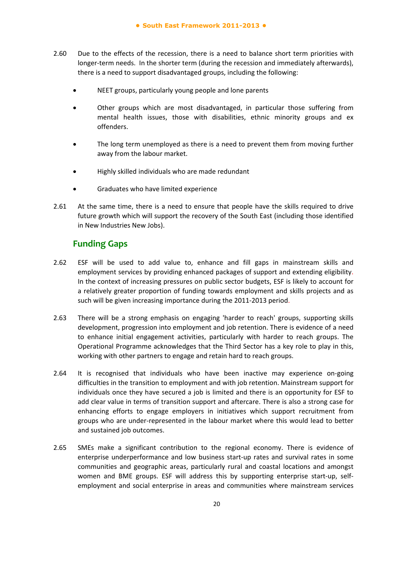- 2.60 Due to the effects of the recession, there is a need to balance short term priorities with longer-term needs. In the shorter term (during the recession and immediately afterwards), there is a need to support disadvantaged groups, including the following:
	- NEET groups, particularly young people and lone parents
	- Other groups which are most disadvantaged, in particular those suffering from mental health issues, those with disabilities, ethnic minority groups and ex offenders.
	- The long term unemployed as there is a need to prevent them from moving further away from the labour market.
	- Highly skilled individuals who are made redundant
	- Graduates who have limited experience
- 2.61 At the same time, there is a need to ensure that people have the skills required to drive future growth which will support the recovery of the South East (including those identified in New Industries New Jobs).

## **Funding Gaps**

- 2.62 ESF will be used to add value to, enhance and fill gaps in mainstream skills and employment services by providing enhanced packages of support and extending eligibility. In the context of increasing pressures on public sector budgets, ESF is likely to account for a relatively greater proportion of funding towards employment and skills projects and as such will be given increasing importance during the 2011‐2013 period.
- 2.63 There will be a strong emphasis on engaging 'harder to reach' groups, supporting skills development, progression into employment and job retention. There is evidence of a need to enhance initial engagement activities, particularly with harder to reach groups. The Operational Programme acknowledges that the Third Sector has a key role to play in this, working with other partners to engage and retain hard to reach groups.
- 2.64 It is recognised that individuals who have been inactive may experience on‐going difficulties in the transition to employment and with job retention. Mainstream support for individuals once they have secured a job is limited and there is an opportunity for ESF to add clear value in terms of transition support and aftercare. There is also a strong case for enhancing efforts to engage employers in initiatives which support recruitment from groups who are under‐represented in the labour market where this would lead to better and sustained job outcomes.
- 2.65 SMEs make a significant contribution to the regional economy. There is evidence of enterprise underperformance and low business start‐up rates and survival rates in some communities and geographic areas, particularly rural and coastal locations and amongst women and BME groups. ESF will address this by supporting enterprise start‐up, self‐ employment and social enterprise in areas and communities where mainstream services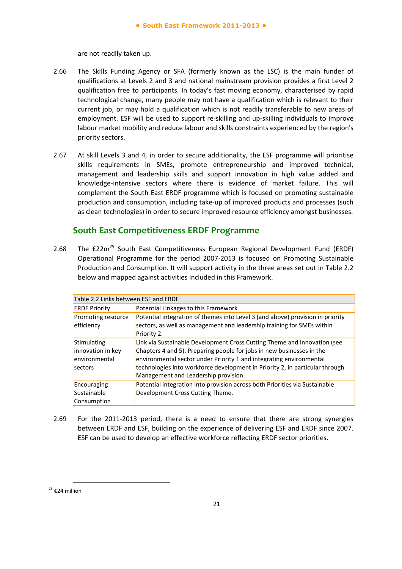are not readily taken up.

- 2.66 The Skills Funding Agency or SFA (formerly known as the LSC) is the main funder of qualifications at Levels 2 and 3 and national mainstream provision provides a first Level 2 qualification free to participants. In today's fast moving economy, characterised by rapid technological change, many people may not have a qualification which is relevant to their current job, or may hold a qualification which is not readily transferable to new areas of employment. ESF will be used to support re‐skilling and up‐skilling individuals to improve labour market mobility and reduce labour and skills constraints experienced by the region's priority sectors.
- 2.67 At skill Levels 3 and 4, in order to secure additionality, the ESF programme will prioritise skills requirements in SMEs, promote entrepreneurship and improved technical, management and leadership skills and support innovation in high value added and knowledge‐intensive sectors where there is evidence of market failure. This will complement the South East ERDF programme which is focused on promoting sustainable production and consumption, including take‐up of improved products and processes (such as clean technologies) in order to secure improved resource efficiency amongst businesses.

## **South East Competitiveness ERDF Programme**

2.68 The  $f22m^{25}$  South East Competitiveness European Regional Development Fund (ERDF) Operational Programme for the period 2007‐2013 is focused on Promoting Sustainable Production and Consumption. It will support activity in the three areas set out in Table 2.2 below and mapped against activities included in this Framework.

| Table 2.2 Links between ESF and ERDF                         |                                                                                                                                                                                                                                                                                                                                                  |  |  |
|--------------------------------------------------------------|--------------------------------------------------------------------------------------------------------------------------------------------------------------------------------------------------------------------------------------------------------------------------------------------------------------------------------------------------|--|--|
| <b>ERDF Priority</b>                                         | Potential Linkages to this Framework                                                                                                                                                                                                                                                                                                             |  |  |
| Promoting resource<br>efficiency                             | Potential integration of themes into Level 3 (and above) provision in priority<br>sectors, as well as management and leadership training for SMEs within<br>Priority 2.                                                                                                                                                                          |  |  |
| Stimulating<br>innovation in key<br>environmental<br>sectors | Link via Sustainable Development Cross Cutting Theme and Innovation (see<br>Chapters 4 and 5). Preparing people for jobs in new businesses in the<br>environmental sector under Priority 1 and integrating environmental<br>technologies into workforce development in Priority 2, in particular through<br>Management and Leadership provision. |  |  |
| Encouraging<br>Sustainable<br>Consumption                    | Potential integration into provision across both Priorities via Sustainable<br>Development Cross Cutting Theme.                                                                                                                                                                                                                                  |  |  |

2.69 For the 2011‐2013 period, there is a need to ensure that there are strong synergies between ERDF and ESF, building on the experience of delivering ESF and ERDF since 2007. ESF can be used to develop an effective workforce reflecting ERDF sector priorities.

<sup>&</sup>lt;sup>25</sup> €24 million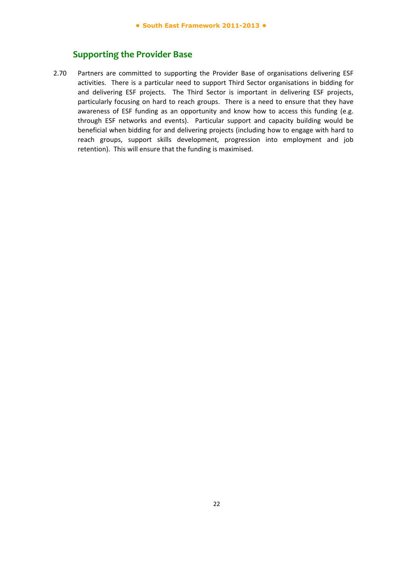## **Supporting the Provider Base**

2.70 Partners are committed to supporting the Provider Base of organisations delivering ESF activities. There is a particular need to support Third Sector organisations in bidding for and delivering ESF projects. The Third Sector is important in delivering ESF projects, particularly focusing on hard to reach groups. There is a need to ensure that they have awareness of ESF funding as an opportunity and know how to access this funding (e.g. through ESF networks and events). Particular support and capacity building would be beneficial when bidding for and delivering projects (including how to engage with hard to reach groups, support skills development, progression into employment and job retention). This will ensure that the funding is maximised.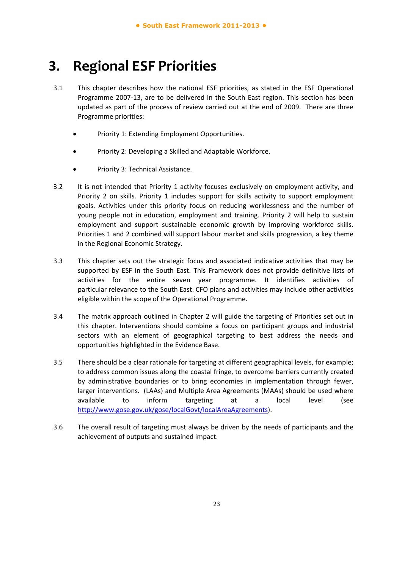## **3. Regional ESF Priorities**

- 3.1 This chapter describes how the national ESF priorities, as stated in the ESF Operational Programme 2007‐13, are to be delivered in the South East region. This section has been updated as part of the process of review carried out at the end of 2009. There are three Programme priorities:
	- Priority 1: Extending Employment Opportunities.
	- Priority 2: Developing a Skilled and Adaptable Workforce.
	- Priority 3: Technical Assistance.
- 3.2 It is not intended that Priority 1 activity focuses exclusively on employment activity, and Priority 2 on skills. Priority 1 includes support for skills activity to support employment goals. Activities under this priority focus on reducing worklessness and the number of young people not in education, employment and training. Priority 2 will help to sustain employment and support sustainable economic growth by improving workforce skills. Priorities 1 and 2 combined will support labour market and skills progression, a key theme in the Regional Economic Strategy.
- 3.3 This chapter sets out the strategic focus and associated indicative activities that may be supported by ESF in the South East. This Framework does not provide definitive lists of activities for the entire seven year programme. It identifies activities of particular relevance to the South East. CFO plans and activities may include other activities eligible within the scope of the Operational Programme.
- 3.4 The matrix approach outlined in Chapter 2 will guide the targeting of Priorities set out in this chapter. Interventions should combine a focus on participant groups and industrial sectors with an element of geographical targeting to best address the needs and opportunities highlighted in the Evidence Base.
- 3.5 There should be a clear rationale for targeting at different geographical levels, for example; to address common issues along the coastal fringe, to overcome barriers currently created by administrative boundaries or to bring economies in implementation through fewer, larger interventions. (LAAs) and Multiple Area Agreements (MAAs) should be used where available to inform targeting at a local level (see http://www.gose.gov.uk/gose/localGovt/localAreaAgreements).
- 3.6 The overall result of targeting must always be driven by the needs of participants and the achievement of outputs and sustained impact.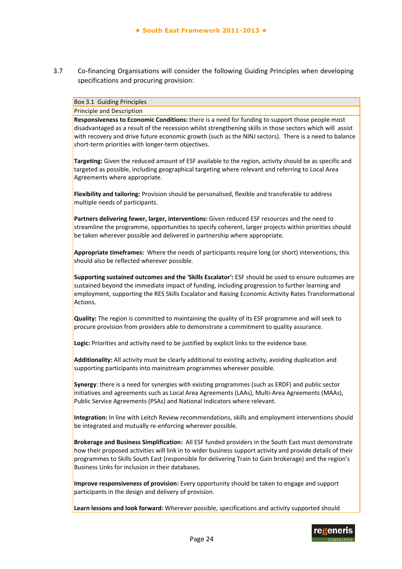3.7 Co-financing Organisations will consider the following Guiding Principles when developing specifications and procuring provision:

#### Box 3.1 Guiding Principles

Principle and Description

**Responsiveness to Economic Conditions:** there is a need for funding to support those people most disadvantaged as a result of the recession whilst strengthening skills in those sectors which will assist with recovery and drive future economic growth (such as the NINJ sectors). There is a need to balance short-term priorities with longer-term objectives.

**Targeting:** Given the reduced amount of ESF available to the region, activity should be as specific and targeted as possible, including geographical targeting where relevant and referring to Local Area Agreements where appropriate.

**Flexibility and tailoring:** Provision should be personalised, flexible and transferable to address multiple needs of participants.

**Partners delivering fewer, larger, interventions:** Given reduced ESF resources and the need to streamline the programme, opportunities to specify coherent, larger projects within priorities should be taken wherever possible and delivered in partnership where appropriate.

**Appropriate timeframes:** Where the needs of participants require long (or short) interventions, this should also be reflected wherever possible.

**Supporting sustained outcomes and the 'Skills Escalator':** ESF should be used to ensure outcomes are sustained beyond the immediate impact of funding, including progression to further learning and employment, supporting the RES Skills Escalator and Raising Economic Activity Rates Transformational Actions.

**Quality:** The region is committed to maintaining the quality of its ESF programme and will seek to procure provision from providers able to demonstrate a commitment to quality assurance.

**Logic:** Priorities and activity need to be justified by explicit links to the evidence base.

**Additionality:** All activity must be clearly additional to existing activity, avoiding duplication and supporting participants into mainstream programmes wherever possible.

**Synergy**: there is a need for synergies with existing programmes (such as ERDF) and public sector initiatives and agreements such as Local Area Agreements (LAAs), Multi‐Area Agreements (MAAs), Public Service Agreements (PSAs) and National Indicators where relevant.

**Integration:** In line with Leitch Review recommendations, skills and employment interventions should be integrated and mutually re-enforcing wherever possible.

**Brokerage and Business Simplification:** All ESF funded providers in the South East must demonstrate how their proposed activities will link in to wider business support activity and provide details of their programmes to Skills South East (responsible for delivering Train to Gain brokerage) and the region's Business Links for inclusion in their databases.

**Improve responsiveness of provision:** Every opportunity should be taken to engage and support participants in the design and delivery of provision.

**Learn lessons and look forward:** Wherever possible, specifications and activity supported should

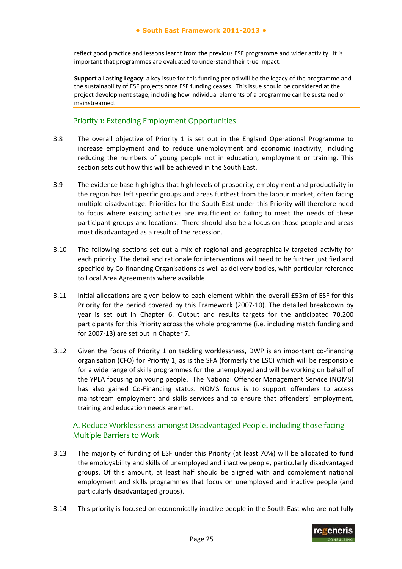reflect good practice and lessons learnt from the previous ESF programme and wider activity. It is important that programmes are evaluated to understand their true impact.

**Support a Lasting Legacy**: a key issue for this funding period will be the legacy of the programme and the sustainability of ESF projects once ESF funding ceases. This issue should be considered at the project development stage, including how individual elements of a programme can be sustained or mainstreamed.

#### Priority 1: Extending Employment Opportunities

- 3.8 The overall objective of Priority 1 is set out in the England Operational Programme to increase employment and to reduce unemployment and economic inactivity, including reducing the numbers of young people not in education, employment or training. This section sets out how this will be achieved in the South East.
- 3.9 The evidence base highlights that high levels of prosperity, employment and productivity in the region has left specific groups and areas furthest from the labour market, often facing multiple disadvantage. Priorities for the South East under this Priority will therefore need to focus where existing activities are insufficient or failing to meet the needs of these participant groups and locations. There should also be a focus on those people and areas most disadvantaged as a result of the recession.
- 3.10 The following sections set out a mix of regional and geographically targeted activity for each priority. The detail and rationale for interventions will need to be further justified and specified by Co-financing Organisations as well as delivery bodies, with particular reference to Local Area Agreements where available.
- 3.11 Initial allocations are given below to each element within the overall £53m of ESF for this Priority for the period covered by this Framework (2007‐10). The detailed breakdown by year is set out in Chapter 6. Output and results targets for the anticipated 70,200 participants for this Priority across the whole programme (i.e. including match funding and for 2007‐13) are set out in Chapter 7.
- 3.12 Given the focus of Priority 1 on tackling worklessness, DWP is an important co-financing organisation (CFO) for Priority 1, as is the SFA (formerly the LSC) which will be responsible for a wide range of skills programmes for the unemployed and will be working on behalf of the YPLA focusing on young people. The National Offender Management Service (NOMS) has also gained Co-Financing status. NOMS focus is to support offenders to access mainstream employment and skills services and to ensure that offenders' employment, training and education needs are met.

### A. Reduce Worklessness amongst Disadvantaged People, including those facing Multiple Barriers to Work

- 3.13 The majority of funding of ESF under this Priority (at least 70%) will be allocated to fund the employability and skills of unemployed and inactive people, particularly disadvantaged groups. Of this amount, at least half should be aligned with and complement national employment and skills programmes that focus on unemployed and inactive people (and particularly disadvantaged groups).
- 3.14 This priority is focused on economically inactive people in the South East who are not fully

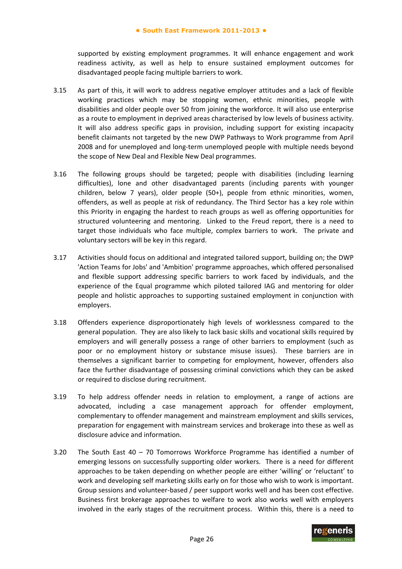supported by existing employment programmes. It will enhance engagement and work readiness activity, as well as help to ensure sustained employment outcomes for disadvantaged people facing multiple barriers to work.

- 3.15 As part of this, it will work to address negative employer attitudes and a lack of flexible working practices which may be stopping women, ethnic minorities, people with disabilities and older people over 50 from joining the workforce. It will also use enterprise as a route to employment in deprived areas characterised by low levels of business activity. It will also address specific gaps in provision, including support for existing incapacity benefit claimants not targeted by the new DWP Pathways to Work programme from April 2008 and for unemployed and long‐term unemployed people with multiple needs beyond the scope of New Deal and Flexible New Deal programmes.
- 3.16 The following groups should be targeted; people with disabilities (including learning difficulties), lone and other disadvantaged parents (including parents with younger children, below 7 years), older people (50+), people from ethnic minorities, women, offenders, as well as people at risk of redundancy. The Third Sector has a key role within this Priority in engaging the hardest to reach groups as well as offering opportunities for structured volunteering and mentoring. Linked to the Freud report, there is a need to target those individuals who face multiple, complex barriers to work. The private and voluntary sectors will be key in this regard.
- 3.17 Activities should focus on additional and integrated tailored support, building on; the DWP 'Action Teams for Jobs' and 'Ambition' programme approaches, which offered personalised and flexible support addressing specific barriers to work faced by individuals, and the experience of the Equal programme which piloted tailored IAG and mentoring for older people and holistic approaches to supporting sustained employment in conjunction with employers.
- 3.18 Offenders experience disproportionately high levels of worklessness compared to the general population. They are also likely to lack basic skills and vocational skills required by employers and will generally possess a range of other barriers to employment (such as poor or no employment history or substance misuse issues). These barriers are in themselves a significant barrier to competing for employment, however, offenders also face the further disadvantage of possessing criminal convictions which they can be asked or required to disclose during recruitment.
- 3.19 To help address offender needs in relation to employment, a range of actions are advocated, including a case management approach for offender employment, complementary to offender management and mainstream employment and skills services, preparation for engagement with mainstream services and brokerage into these as well as disclosure advice and information.
- 3.20 The South East 40 70 Tomorrows Workforce Programme has identified a number of emerging lessons on successfully supporting older workers. There is a need for different approaches to be taken depending on whether people are either 'willing' or 'reluctant' to work and developing self marketing skills early on for those who wish to work is important. Group sessions and volunteer-based / peer support works well and has been cost effective. Business first brokerage approaches to welfare to work also works well with employers involved in the early stages of the recruitment process. Within this, there is a need to

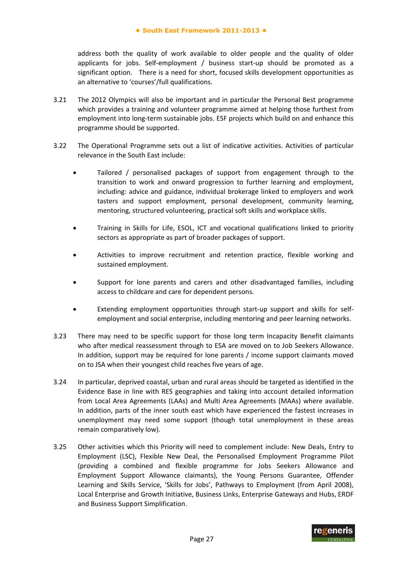address both the quality of work available to older people and the quality of older applicants for jobs. Self-employment / business start-up should be promoted as a significant option. There is a need for short, focused skills development opportunities as an alternative to 'courses'/full qualifications.

- 3.21 The 2012 Olympics will also be important and in particular the Personal Best programme which provides a training and volunteer programme aimed at helping those furthest from employment into long-term sustainable jobs. ESF projects which build on and enhance this programme should be supported.
- 3.22 The Operational Programme sets out a list of indicative activities. Activities of particular relevance in the South East include:
	- Tailored / personalised packages of support from engagement through to the transition to work and onward progression to further learning and employment, including: advice and guidance, individual brokerage linked to employers and work tasters and support employment, personal development, community learning, mentoring, structured volunteering, practical soft skills and workplace skills.
	- Training in Skills for Life, ESOL, ICT and vocational qualifications linked to priority sectors as appropriate as part of broader packages of support.
	- Activities to improve recruitment and retention practice, flexible working and sustained employment.
	- Support for lone parents and carers and other disadvantaged families, including access to childcare and care for dependent persons.
	- Extending employment opportunities through start-up support and skills for selfemployment and social enterprise, including mentoring and peer learning networks.
- 3.23 There may need to be specific support for those long term Incapacity Benefit claimants who after medical reassessment through to ESA are moved on to Job Seekers Allowance. In addition, support may be required for lone parents / income support claimants moved on to JSA when their youngest child reaches five years of age.
- 3.24 In particular, deprived coastal, urban and rural areas should be targeted as identified in the Evidence Base in line with RES geographies and taking into account detailed information from Local Area Agreements (LAAs) and Multi Area Agreements (MAAs) where available. In addition, parts of the inner south east which have experienced the fastest increases in unemployment may need some support (though total unemployment in these areas remain comparatively low).
- 3.25 Other activities which this Priority will need to complement include: New Deals, Entry to Employment (LSC), Flexible New Deal, the Personalised Employment Programme Pilot (providing a combined and flexible programme for Jobs Seekers Allowance and Employment Support Allowance claimants), the Young Persons Guarantee, Offender Learning and Skills Service, 'Skills for Jobs', Pathways to Employment (from April 2008), Local Enterprise and Growth Initiative, Business Links, Enterprise Gateways and Hubs, ERDF and Business Support Simplification.

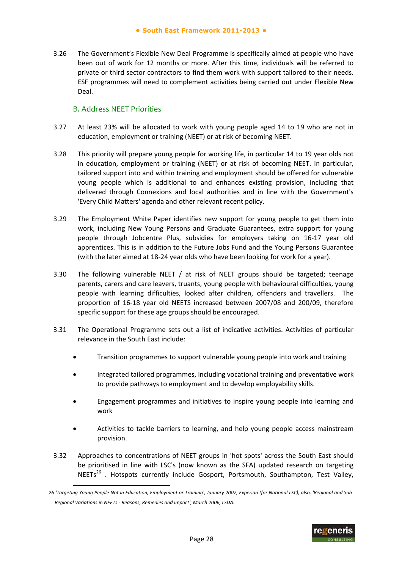3.26 The Government's Flexible New Deal Programme is specifically aimed at people who have been out of work for 12 months or more. After this time, individuals will be referred to private or third sector contractors to find them work with support tailored to their needs. ESF programmes will need to complement activities being carried out under Flexible New Deal.

#### B. Address NEET Priorities

- 3.27 At least 23% will be allocated to work with young people aged 14 to 19 who are not in education, employment or training (NEET) or at risk of becoming NEET.
- 3.28 This priority will prepare young people for working life, in particular 14 to 19 year olds not in education, employment or training (NEET) or at risk of becoming NEET. In particular, tailored support into and within training and employment should be offered for vulnerable young people which is additional to and enhances existing provision, including that delivered through Connexions and local authorities and in line with the Government's 'Every Child Matters' agenda and other relevant recent policy.
- 3.29 The Employment White Paper identifies new support for young people to get them into work, including New Young Persons and Graduate Guarantees, extra support for young people through Jobcentre Plus, subsidies for employers taking on 16‐17 year old apprentices. This is in addition to the Future Jobs Fund and the Young Persons Guarantee (with the later aimed at 18‐24 year olds who have been looking for work for a year).
- 3.30 The following vulnerable NEET / at risk of NEET groups should be targeted; teenage parents, carers and care leavers, truants, young people with behavioural difficulties, young people with learning difficulties, looked after children, offenders and travellers. The proportion of 16‐18 year old NEETS increased between 2007/08 and 200/09, therefore specific support for these age groups should be encouraged.
- 3.31 The Operational Programme sets out a list of indicative activities. Activities of particular relevance in the South East include:
	- Transition programmes to support vulnerable young people into work and training
	- Integrated tailored programmes, including vocational training and preventative work to provide pathways to employment and to develop employability skills.
	- Engagement programmes and initiatives to inspire young people into learning and work
	- Activities to tackle barriers to learning, and help young people access mainstream provision.
- 3.32 Approaches to concentrations of NEET groups in 'hot spots' across the South East should be prioritised in line with LSC's (now known as the SFA) updated research on targeting  $NEETs<sup>26</sup>$ . Hotspots currently include Gosport, Portsmouth, Southampton, Test Valley,

<sup>26 &#</sup>x27;Targeting Young People Not in Education, Employment or Training', January 2007, Experian (for National LSC), also, 'Regional and Sub-*Regional Variations in NEETs ‐ Reasons, Remedies and Impact', March 2006, LSDA.* 

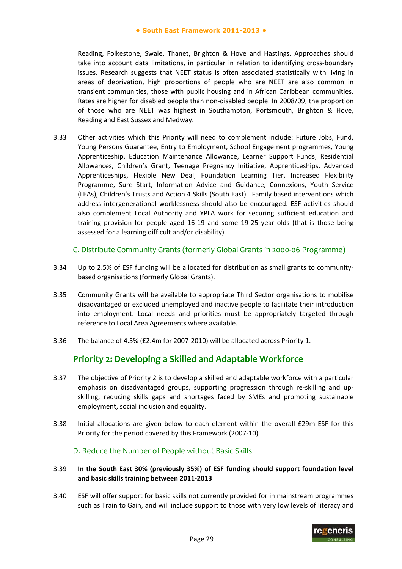Reading, Folkestone, Swale, Thanet, Brighton & Hove and Hastings. Approaches should take into account data limitations, in particular in relation to identifying cross-boundary issues. Research suggests that NEET status is often associated statistically with living in areas of deprivation, high proportions of people who are NEET are also common in transient communities, those with public housing and in African Caribbean communities. Rates are higher for disabled people than non‐disabled people. In 2008/09, the proportion of those who are NEET was highest in Southampton, Portsmouth, Brighton & Hove, Reading and East Sussex and Medway.

3.33 Other activities which this Priority will need to complement include: Future Jobs, Fund, Young Persons Guarantee, Entry to Employment, School Engagement programmes, Young Apprenticeship, Education Maintenance Allowance, Learner Support Funds, Residential Allowances, Children's Grant, Teenage Pregnancy Initiative, Apprenticeships, Advanced Apprenticeships, Flexible New Deal, Foundation Learning Tier, Increased Flexibility Programme, Sure Start, Information Advice and Guidance, Connexions, Youth Service (LEAs), Children's Trusts and Action 4 Skills (South East). Family based interventions which address intergenerational worklessness should also be encouraged. ESF activities should also complement Local Authority and YPLA work for securing sufficient education and training provision for people aged 16‐19 and some 19‐25 year olds (that is those being assessed for a learning difficult and/or disability).

#### C. Distribute Community Grants (formerly Global Grants in 2000‐06 Programme)

- 3.34 Up to 2.5% of ESF funding will be allocated for distribution as small grants to community‐ based organisations (formerly Global Grants).
- 3.35 Community Grants will be available to appropriate Third Sector organisations to mobilise disadvantaged or excluded unemployed and inactive people to facilitate their introduction into employment. Local needs and priorities must be appropriately targeted through reference to Local Area Agreements where available.
- 3.36 The balance of 4.5% (£2.4m for 2007‐2010) will be allocated across Priority 1.

## **Priority 2: Developing a Skilled and Adaptable Workforce**

- 3.37 The objective of Priority 2 is to develop a skilled and adaptable workforce with a particular emphasis on disadvantaged groups, supporting progression through re-skilling and upskilling, reducing skills gaps and shortages faced by SMEs and promoting sustainable employment, social inclusion and equality.
- 3.38 Initial allocations are given below to each element within the overall £29m ESF for this Priority for the period covered by this Framework (2007‐10).

#### D. Reduce the Number of People without Basic Skills

- 3.39 **In the South East 30% (previously 35%) of ESF funding should support foundation level and basic skills training between 2011‐2013**
- 3.40 ESF will offer support for basic skills not currently provided for in mainstream programmes such as Train to Gain, and will include support to those with very low levels of literacy and

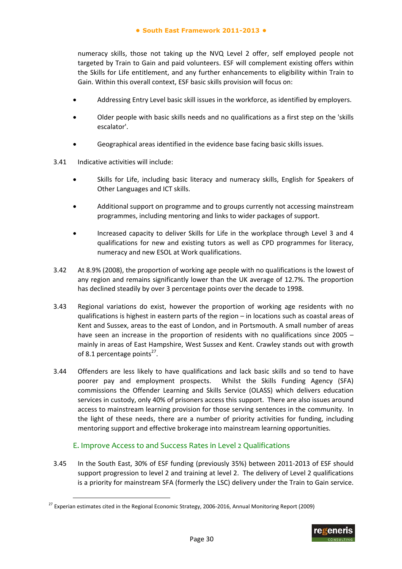numeracy skills, those not taking up the NVQ Level 2 offer, self employed people not targeted by Train to Gain and paid volunteers. ESF will complement existing offers within the Skills for Life entitlement, and any further enhancements to eligibility within Train to Gain. Within this overall context, ESF basic skills provision will focus on:

- Addressing Entry Level basic skill issues in the workforce, as identified by employers.
- Older people with basic skills needs and no qualifications as a first step on the 'skills escalator'.
- Geographical areas identified in the evidence base facing basic skills issues.
- 3.41 Indicative activities will include:

-

- Skills for Life, including basic literacy and numeracy skills, English for Speakers of Other Languages and ICT skills.
- Additional support on programme and to groups currently not accessing mainstream programmes, including mentoring and links to wider packages of support.
- Increased capacity to deliver Skills for Life in the workplace through Level 3 and 4 qualifications for new and existing tutors as well as CPD programmes for literacy, numeracy and new ESOL at Work qualifications.
- 3.42 At 8.9% (2008), the proportion of working age people with no qualifications is the lowest of any region and remains significantly lower than the UK average of 12.7%. The proportion has declined steadily by over 3 percentage points over the decade to 1998.
- 3.43 Regional variations do exist, however the proportion of working age residents with no qualifications is highest in eastern parts of the region – in locations such as coastal areas of Kent and Sussex, areas to the east of London, and in Portsmouth. A small number of areas have seen an increase in the proportion of residents with no qualifications since 2005 – mainly in areas of East Hampshire, West Sussex and Kent. Crawley stands out with growth of 8.1 percentage points<sup>27</sup>.
- 3.44 Offenders are less likely to have qualifications and lack basic skills and so tend to have poorer pay and employment prospects. Whilst the Skills Funding Agency (SFA) commissions the Offender Learning and Skills Service (OLASS) which delivers education services in custody, only 40% of prisoners access this support. There are also issues around access to mainstream learning provision for those serving sentences in the community. In the light of these needs, there are a number of priority activities for funding, including mentoring support and effective brokerage into mainstream learning opportunities.

#### E. Improve Access to and Success Rates in Level 2 Qualifications

3.45 In the South East, 30% of ESF funding (previously 35%) between 2011‐2013 of ESF should support progression to level 2 and training at level 2. The delivery of Level 2 qualifications is a priority for mainstream SFA (formerly the LSC) delivery under the Train to Gain service.

 $27$  Experian estimates cited in the Regional Economic Strategy, 2006-2016, Annual Monitoring Report (2009)

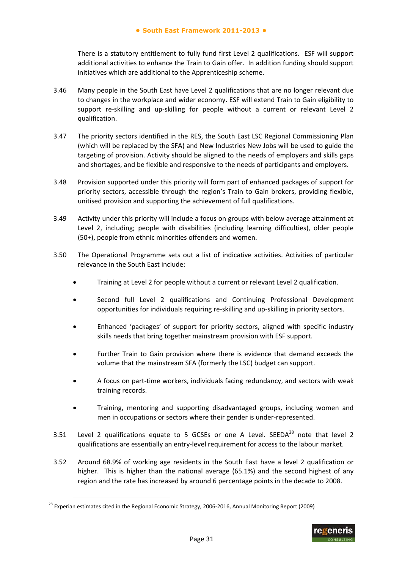There is a statutory entitlement to fully fund first Level 2 qualifications. ESF will support additional activities to enhance the Train to Gain offer. In addition funding should support initiatives which are additional to the Apprenticeship scheme.

- 3.46 Many people in the South East have Level 2 qualifications that are no longer relevant due to changes in the workplace and wider economy. ESF will extend Train to Gain eligibility to support re-skilling and up-skilling for people without a current or relevant Level 2 qualification.
- 3.47 The priority sectors identified in the RES, the South East LSC Regional Commissioning Plan (which will be replaced by the SFA) and New Industries New Jobs will be used to guide the targeting of provision. Activity should be aligned to the needs of employers and skills gaps and shortages, and be flexible and responsive to the needs of participants and employers.
- 3.48 Provision supported under this priority will form part of enhanced packages of support for priority sectors, accessible through the region's Train to Gain brokers, providing flexible, unitised provision and supporting the achievement of full qualifications.
- 3.49 Activity under this priority will include a focus on groups with below average attainment at Level 2, including; people with disabilities (including learning difficulties), older people (50+), people from ethnic minorities offenders and women.
- 3.50 The Operational Programme sets out a list of indicative activities. Activities of particular relevance in the South East include:
	- Training at Level 2 for people without a current or relevant Level 2 qualification.
	- Second full Level 2 qualifications and Continuing Professional Development opportunities for individuals requiring re‐skilling and up‐skilling in priority sectors.
	- Enhanced 'packages' of support for priority sectors, aligned with specific industry skills needs that bring together mainstream provision with ESF support.
	- Further Train to Gain provision where there is evidence that demand exceeds the volume that the mainstream SFA (formerly the LSC) budget can support.
	- A focus on part‐time workers, individuals facing redundancy, and sectors with weak training records.
	- Training, mentoring and supporting disadvantaged groups, including women and men in occupations or sectors where their gender is under‐represented.
- 3.51 Level 2 qualifications equate to 5 GCSEs or one A Level. SEEDA $^{28}$  note that level 2 qualifications are essentially an entry‐level requirement for access to the labour market.
- 3.52 Around 68.9% of working age residents in the South East have a level 2 qualification or higher. This is higher than the national average (65.1%) and the second highest of any region and the rate has increased by around 6 percentage points in the decade to 2008.



<sup>&</sup>lt;sup>28</sup> Experian estimates cited in the Regional Economic Strategy, 2006-2016, Annual Monitoring Report (2009)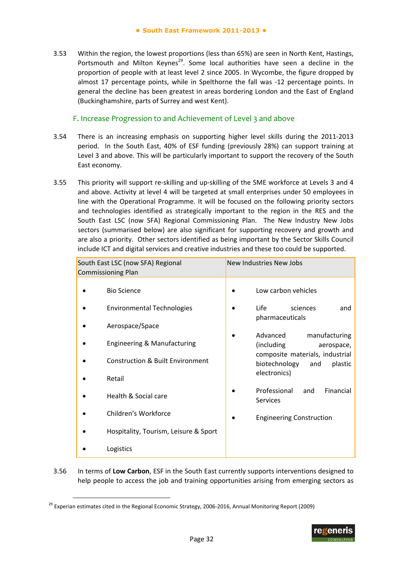3.53 Within the region, the lowest proportions (less than 65%) are seen in North Kent, Hastings, Portsmouth and Milton Keynes<sup>29</sup>. Some local authorities have seen a decline in the proportion of people with at least level 2 since 2005. In Wycombe, the figure dropped by almost 17 percentage points, while in Spelthorne the fall was -12 percentage points. In general the decline has been greatest in areas bordering London and the East of England (Buckinghamshire, parts of Surrey and west Kent).

#### F. Increase Progression to and Achievement of Level 3 and above

- 3.54 There is an increasing emphasis on supporting higher level skills during the 2011‐2013 period. In the South East, 40% of ESF funding (previously 28%) can support training at Level 3 and above. This will be particularly important to support the recovery of the South East economy.
- 3.55 This priority will support re-skilling and up-skilling of the SME workforce at Levels 3 and 4 and above. Activity at level 4 will be targeted at small enterprises under 50 employees in line with the Operational Programme. It will be focused on the following priority sectors and technologies identified as strategically important to the region in the RES and the South East LSC (now SFA) Regional Commissioning Plan. The New Industry New Jobs sectors (summarised below) are also significant for supporting recovery and growth and are also a priority. Other sectors identified as being important by the Sector Skills Council include ICT and digital services and creative industries and these too could be supported.

| South East LSC (now SFA) Regional<br><b>Commissioning Plan</b> |                                             | New Industries New Jobs |                                                                    |
|----------------------------------------------------------------|---------------------------------------------|-------------------------|--------------------------------------------------------------------|
|                                                                | <b>Bio Science</b>                          |                         | Low carbon vehicles                                                |
|                                                                | <b>Environmental Technologies</b>           |                         | Life<br>sciences<br>and<br>pharmaceuticals                         |
|                                                                | Aerospace/Space                             |                         |                                                                    |
|                                                                | Engineering & Manufacturing                 |                         | Advanced<br>manufacturing<br>(including<br>aerospace,              |
|                                                                | <b>Construction &amp; Built Environment</b> |                         | composite materials, industrial<br>biotechnology<br>plastic<br>and |
|                                                                | Retail                                      |                         | electronics)                                                       |
|                                                                | Health & Social care                        |                         | Professional<br>Financial<br>and<br><b>Services</b>                |
|                                                                | Children's Workforce                        |                         | <b>Engineering Construction</b>                                    |
|                                                                | Hospitality, Tourism, Leisure & Sport       |                         |                                                                    |
|                                                                | Logistics                                   |                         |                                                                    |

3.56 In terms of **Low Carbon**, ESF in the South East currently supports interventions designed to help people to access the job and training opportunities arising from emerging sectors as



 $29$  Experian estimates cited in the Regional Economic Strategy, 2006-2016, Annual Monitoring Report (2009)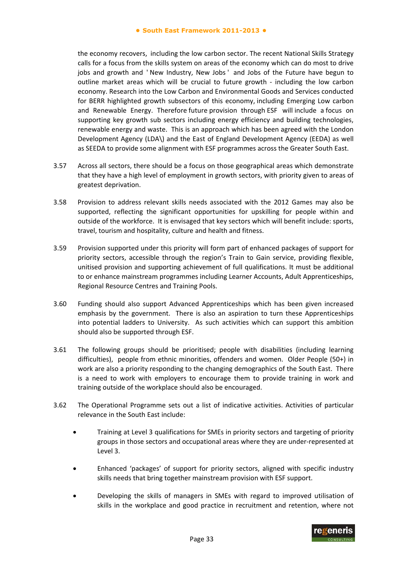the economy recovers, including the low carbon sector. The recent National Skills Strategy calls for a focus from the skills system on areas of the economy which can do most to drive jobs and growth and 'New Industry, New Jobs' and Jobs of the Future have begun to outline market areas which will be crucial to future growth ‐ including the low carbon economy. Research into the Low Carbon and Environmental Goods and Services conducted for BERR highlighted growth subsectors of this economy, including Emerging Low carbon and Renewable Energy. Therefore future provision through ESF will include a focus on supporting key growth sub sectors including energy efficiency and building technologies, renewable energy and waste. This is an approach which has been agreed with the London Development Agency (LDA\) and the East of England Development Agency (EEDA) as well as SEEDA to provide some alignment with ESF programmes across the Greater South East.

- 3.57 Across all sectors, there should be a focus on those geographical areas which demonstrate that they have a high level of employment in growth sectors, with priority given to areas of greatest deprivation.
- 3.58 Provision to address relevant skills needs associated with the 2012 Games may also be supported, reflecting the significant opportunities for upskilling for people within and outside of the workforce. It is envisaged that key sectors which will benefit include: sports, travel, tourism and hospitality, culture and health and fitness.
- 3.59 Provision supported under this priority will form part of enhanced packages of support for priority sectors, accessible through the region's Train to Gain service, providing flexible, unitised provision and supporting achievement of full qualifications. It must be additional to or enhance mainstream programmes including Learner Accounts, Adult Apprenticeships, Regional Resource Centres and Training Pools.
- 3.60 Funding should also support Advanced Apprenticeships which has been given increased emphasis by the government. There is also an aspiration to turn these Apprenticeships into potential ladders to University. As such activities which can support this ambition should also be supported through ESF.
- 3.61 The following groups should be prioritised; people with disabilities (including learning difficulties), people from ethnic minorities, offenders and women. Older People (50+) in work are also a priority responding to the changing demographics of the South East. There is a need to work with employers to encourage them to provide training in work and training outside of the workplace should also be encouraged.
- 3.62 The Operational Programme sets out a list of indicative activities. Activities of particular relevance in the South East include:
	- Training at Level 3 qualifications for SMEs in priority sectors and targeting of priority groups in those sectors and occupational areas where they are under‐represented at Level 3.
	- Enhanced 'packages' of support for priority sectors, aligned with specific industry skills needs that bring together mainstream provision with ESF support.
	- Developing the skills of managers in SMEs with regard to improved utilisation of skills in the workplace and good practice in recruitment and retention, where not

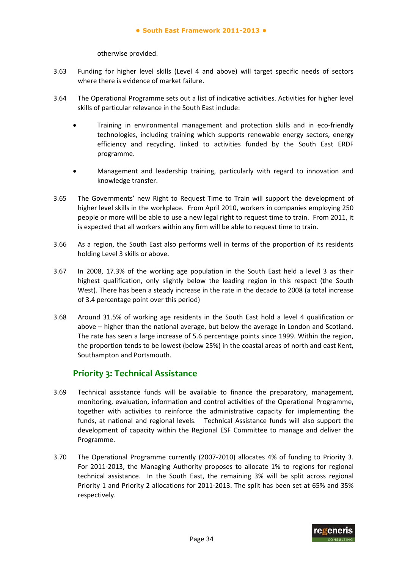otherwise provided.

- 3.63 Funding for higher level skills (Level 4 and above) will target specific needs of sectors where there is evidence of market failure.
- 3.64 The Operational Programme sets out a list of indicative activities. Activities for higher level skills of particular relevance in the South East include:
	- Training in environmental management and protection skills and in eco-friendly technologies, including training which supports renewable energy sectors, energy efficiency and recycling, linked to activities funded by the South East ERDF programme.
	- Management and leadership training, particularly with regard to innovation and knowledge transfer.
- 3.65 The Governments' new Right to Request Time to Train will support the development of higher level skills in the workplace. From April 2010, workers in companies employing 250 people or more will be able to use a new legal right to request time to train. From 2011, it is expected that all workers within any firm will be able to request time to train.
- 3.66 As a region, the South East also performs well in terms of the proportion of its residents holding Level 3 skills or above.
- 3.67 In 2008, 17.3% of the working age population in the South East held a level 3 as their highest qualification, only slightly below the leading region in this respect (the South West). There has been a steady increase in the rate in the decade to 2008 (a total increase of 3.4 percentage point over this period)
- 3.68 Around 31.5% of working age residents in the South East hold a level 4 qualification or above – higher than the national average, but below the average in London and Scotland. The rate has seen a large increase of 5.6 percentage points since 1999. Within the region, the proportion tends to be lowest (below 25%) in the coastal areas of north and east Kent, Southampton and Portsmouth.

## **Priority 3: Technical Assistance**

- 3.69 Technical assistance funds will be available to finance the preparatory, management, monitoring, evaluation, information and control activities of the Operational Programme, together with activities to reinforce the administrative capacity for implementing the funds, at national and regional levels. Technical Assistance funds will also support the development of capacity within the Regional ESF Committee to manage and deliver the Programme.
- 3.70 The Operational Programme currently (2007‐2010) allocates 4% of funding to Priority 3. For 2011-2013, the Managing Authority proposes to allocate 1% to regions for regional technical assistance. In the South East, the remaining 3% will be split across regional Priority 1 and Priority 2 allocations for 2011‐2013. The split has been set at 65% and 35% respectively.

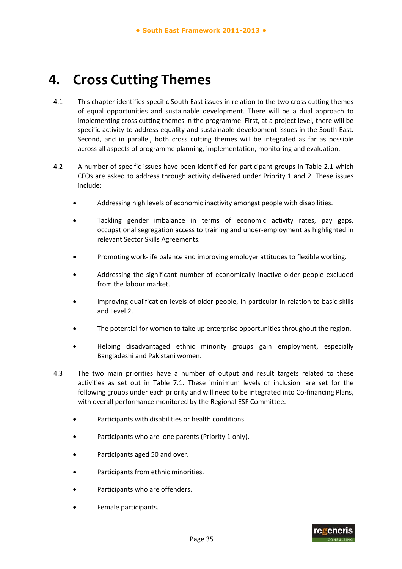# **4. Cross Cutting Themes**

- 4.1 This chapter identifies specific South East issues in relation to the two cross cutting themes of equal opportunities and sustainable development. There will be a dual approach to implementing cross cutting themes in the programme. First, at a project level, there will be specific activity to address equality and sustainable development issues in the South East. Second, and in parallel, both cross cutting themes will be integrated as far as possible across all aspects of programme planning, implementation, monitoring and evaluation.
- 4.2 A number of specific issues have been identified for participant groups in Table 2.1 which CFOs are asked to address through activity delivered under Priority 1 and 2. These issues include:
	- Addressing high levels of economic inactivity amongst people with disabilities.
	- Tackling gender imbalance in terms of economic activity rates, pay gaps, occupational segregation access to training and under‐employment as highlighted in relevant Sector Skills Agreements.
	- Promoting work‐life balance and improving employer attitudes to flexible working.
	- Addressing the significant number of economically inactive older people excluded from the labour market.
	- Improving qualification levels of older people, in particular in relation to basic skills and Level 2.
	- The potential for women to take up enterprise opportunities throughout the region.
	- Helping disadvantaged ethnic minority groups gain employment, especially Bangladeshi and Pakistani women.
- 4.3 The two main priorities have a number of output and result targets related to these activities as set out in Table 7.1. These 'minimum levels of inclusion' are set for the following groups under each priority and will need to be integrated into Co-financing Plans, with overall performance monitored by the Regional ESF Committee.
	- Participants with disabilities or health conditions.
	- Participants who are lone parents (Priority 1 only).
	- Participants aged 50 and over.
	- Participants from ethnic minorities.
	- Participants who are offenders.
	- Female participants.

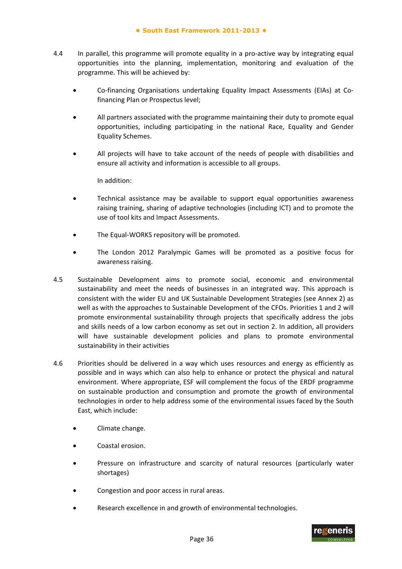- 4.4 In parallel, this programme will promote equality in a pro-active way by integrating equal opportunities into the planning, implementation, monitoring and evaluation of the programme. This will be achieved by:
	- Co‐financing Organisations undertaking Equality Impact Assessments (EIAs) at Co‐ financing Plan or Prospectus level;
	- All partners associated with the programme maintaining their duty to promote equal opportunities, including participating in the national Race, Equality and Gender Equality Schemes.
	- All projects will have to take account of the needs of people with disabilities and ensure all activity and information is accessible to all groups.

In addition:

- Technical assistance may be available to support equal opportunities awareness raising training, sharing of adaptive technologies (including ICT) and to promote the use of tool kits and Impact Assessments.
- The Equal-WORKS repository will be promoted.
- The London 2012 Paralympic Games will be promoted as a positive focus for awareness raising.
- 4.5 Sustainable Development aims to promote social, economic and environmental sustainability and meet the needs of businesses in an integrated way. This approach is consistent with the wider EU and UK Sustainable Development Strategies (see Annex 2) as well as with the approaches to Sustainable Development of the CFOs. Priorities 1 and 2 will promote environmental sustainability through projects that specifically address the jobs and skills needs of a low carbon economy as set out in section 2. In addition, all providers will have sustainable development policies and plans to promote environmental sustainability in their activities
- 4.6 Priorities should be delivered in a way which uses resources and energy as efficiently as possible and in ways which can also help to enhance or protect the physical and natural environment. Where appropriate, ESF will complement the focus of the ERDF programme on sustainable production and consumption and promote the growth of environmental technologies in order to help address some of the environmental issues faced by the South East, which include:
	- Climate change.
	- Coastal erosion.
	- Pressure on infrastructure and scarcity of natural resources (particularly water shortages)
	- Congestion and poor access in rural areas.
	- Research excellence in and growth of environmental technologies.

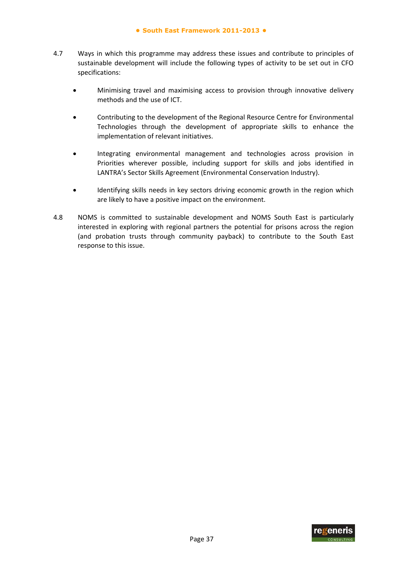- 4.7 Ways in which this programme may address these issues and contribute to principles of sustainable development will include the following types of activity to be set out in CFO specifications:
	- Minimising travel and maximising access to provision through innovative delivery methods and the use of ICT.
	- Contributing to the development of the Regional Resource Centre for Environmental Technologies through the development of appropriate skills to enhance the implementation of relevant initiatives.
	- Integrating environmental management and technologies across provision in Priorities wherever possible, including support for skills and jobs identified in LANTRA's Sector Skills Agreement (Environmental Conservation Industry).
	- Identifying skills needs in key sectors driving economic growth in the region which are likely to have a positive impact on the environment.
- 4.8 NOMS is committed to sustainable development and NOMS South East is particularly interested in exploring with regional partners the potential for prisons across the region (and probation trusts through community payback) to contribute to the South East response to this issue.

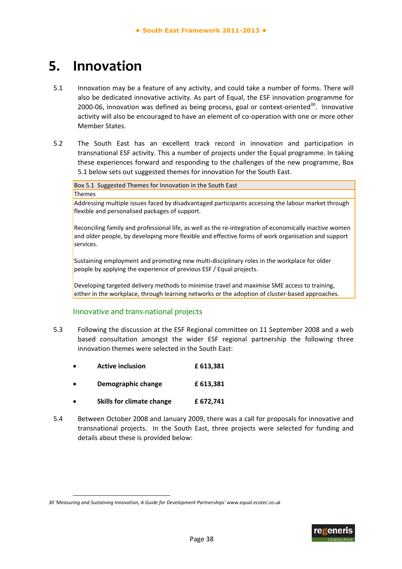# **5. Innovation**

- 5.1 Innovation may be a feature of any activity, and could take a number of forms. There will also be dedicated innovative activity. As part of Equal, the ESF innovation programme for 2000-06, innovation was defined as being process, goal or context-oriented $30$ . Innovative activity will also be encouraged to have an element of co-operation with one or more other Member States.
- 5.2 The South East has an excellent track record in innovation and participation in transnational ESF activity. This a number of projects under the Equal programme. In taking these experiences forward and responding to the challenges of the new programme, Box 5.1 below sets out suggested themes for innovation for the South East.

Box 5.1 Suggested Themes for Innovation in the South East

**Themes** 

-

Addressing multiple issues faced by disadvantaged participants accessing the labour market through flexible and personalised packages of support.

Reconciling family and professional life, as well as the re-integration of economically inactive women and older people, by developing more flexible and effective forms of work organisation and support services.

Sustaining employment and promoting new multi-disciplinary roles in the workplace for older people by applying the experience of previous ESF / Equal projects.

Developing targeted delivery methods to minimise travel and maximise SME access to training, either in the workplace, through learning networks or the adoption of cluster-based approaches.

#### Innovative and trans‐national projects

- 5.3 Following the discussion at the ESF Regional committee on 11 September 2008 and a web based consultation amongst the wider ESF regional partnership the following three innovation themes were selected in the South East:
	- **Active inclusion £ 613,381**
	- **Demographic change £ 613,381**
	- **Skills for climate change £ 672,741**
- 5.4 Between October 2008 and January 2009, there was a call for proposals for innovative and transnational projects. In the South East, three projects were selected for funding and details about these is provided below:



*<sup>30</sup> 'Measuring and Sustaining Innovation, A Guide for Development Partnerships' www.equal.ecotec.co.uk*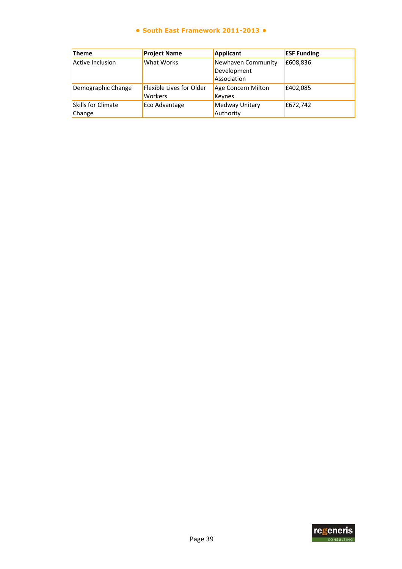#### **● South East Framework 2011-2013 ●**

| <b>Theme</b>              | <b>Project Name</b>      | Applicant          | <b>ESF Funding</b> |
|---------------------------|--------------------------|--------------------|--------------------|
| Active Inclusion          | <b>What Works</b>        | Newhaven Community | £608,836           |
|                           |                          | Development        |                    |
|                           |                          | Association        |                    |
| Demographic Change        | Flexible Lives for Older | Age Concern Milton | £402,085           |
|                           | <b>Workers</b>           | Keynes             |                    |
| <b>Skills for Climate</b> | Eco Advantage            | Medway Unitary     | £672,742           |
| Change                    |                          | Authority          |                    |

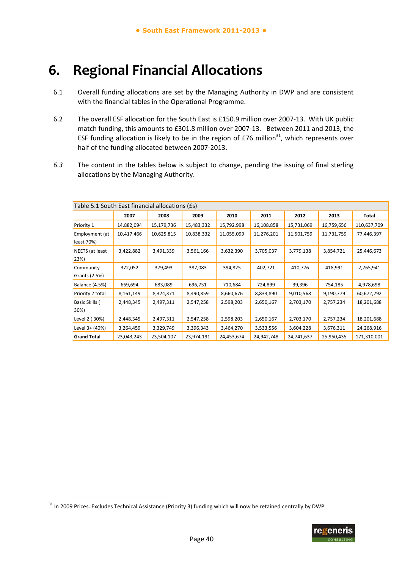# **6. Regional Financial Allocations**

- 6.1 Overall funding allocations are set by the Managing Authority in DWP and are consistent with the financial tables in the Operational Programme.
- 6.2 The overall ESF allocation for the South East is £150.9 million over 2007‐13. With UK public match funding, this amounts to £301.8 million over 2007‐13. Between 2011 and 2013, the ESF funding allocation is likely to be in the region of £76 million<sup>31</sup>, which represents over half of the funding allocated between 2007‐2013.
- *6.3* The content in the tables below is subject to change, pending the issuing of final sterling allocations by the Managing Authority.

| Table 5.1 South East financial allocations (£s) |            |            |            |            |            |            |            |             |
|-------------------------------------------------|------------|------------|------------|------------|------------|------------|------------|-------------|
|                                                 | 2007       | 2008       | 2009       | 2010       | 2011       | 2012       | 2013       | Total       |
| Priority 1                                      | 14,882,094 | 15,179,736 | 15,483,332 | 15,792,998 | 16,108,858 | 15,731,069 | 16,759,656 | 110,637,709 |
| Employment (at<br>least 70%)                    | 10,417,466 | 10,625,815 | 10,838,332 | 11,055,099 | 11,276,201 | 11,501,759 | 11,731,759 | 77,446,397  |
| NEETS (at least<br> 23%                         | 3,422,882  | 3,491,339  | 3,561,166  | 3,632,390  | 3,705,037  | 3,779,138  | 3,854,721  | 25,446,673  |
| Community<br>Grants (2.5%)                      | 372,052    | 379,493    | 387,083    | 394,825    | 402,721    | 410,776    | 418,991    | 2,765,941   |
| Balance (4.5%)                                  | 669,694    | 683,089    | 696,751    | 710,684    | 724,899    | 39,396     | 754,185    | 4,978,698   |
| Priority 2 total                                | 8,161,149  | 8,324,371  | 8,490,859  | 8,660,676  | 8,833,890  | 9,010,568  | 9,190,779  | 60,672,292  |
| Basic Skills (<br>$30\%$                        | 2,448,345  | 2,497,311  | 2,547,258  | 2,598,203  | 2,650,167  | 2,703,170  | 2,757,234  | 18,201,688  |
| Level 2 (30%)                                   | 2,448,345  | 2,497,311  | 2,547,258  | 2,598,203  | 2,650,167  | 2,703,170  | 2,757,234  | 18,201,688  |
| Level 3+ (40%)                                  | 3,264,459  | 3,329,749  | 3,396,343  | 3,464,270  | 3,533,556  | 3,604,228  | 3,676,311  | 24,268,916  |
| <b>Grand Total</b>                              | 23,043,243 | 23,504,107 | 23,974,191 | 24,453,674 | 24,942,748 | 24,741,637 | 25,950,435 | 171,310,001 |

-



 $31$  In 2009 Prices. Excludes Technical Assistance (Priority 3) funding which will now be retained centrally by DWP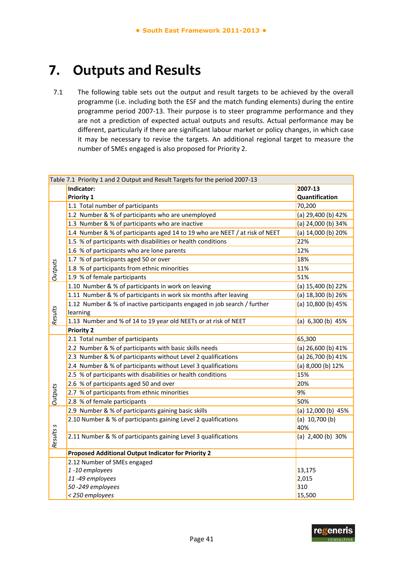# **7. Outputs and Results**

7.1 The following table sets out the output and result targets to be achieved by the overall programme (i.e. including both the ESF and the match funding elements) during the entire programme period 2007‐13. Their purpose is to steer programme performance and they are not a prediction of expected actual outputs and results. Actual performance may be different, particularly if there are significant labour market or policy changes, in which case it may be necessary to revise the targets. An additional regional target to measure the number of SMEs engaged is also proposed for Priority 2.

|                | Table 7.1 Priority 1 and 2 Output and Result Targets for the period 2007-13 |                        |  |  |
|----------------|-----------------------------------------------------------------------------|------------------------|--|--|
|                | Indicator:                                                                  | 2007-13                |  |  |
|                | Priority 1                                                                  | Quantification         |  |  |
|                | 1.1 Total number of participants                                            | 70,200                 |  |  |
|                | 1.2 Number & % of participants who are unemployed                           | (a) 29,400 (b) 42%     |  |  |
|                | 1.3 Number & % of participants who are inactive                             | (a) 24,000 (b) 34%     |  |  |
|                | 1.4 Number & % of participants aged 14 to 19 who are NEET / at risk of NEET | (a) 14,000 (b) 20%     |  |  |
|                | 1.5 % of participants with disabilities or health conditions                | 22%                    |  |  |
|                | 1.6 % of participants who are lone parents                                  | 12%                    |  |  |
|                | 1.7 % of participants aged 50 or over                                       | 18%                    |  |  |
| <b>Outputs</b> | 1.8 % of participants from ethnic minorities                                | 11%                    |  |  |
|                | 1.9 % of female participants                                                | 51%                    |  |  |
|                | 1.10 Number & % of participants in work on leaving                          | (a) 15,400 (b) 22%     |  |  |
|                | 1.11 Number & % of participants in work six months after leaving            | (a) 18,300 (b) 26%     |  |  |
|                | 1.12 Number & % of inactive participants engaged in job search / further    | (a) 10,800 (b) 45%     |  |  |
| Results        | learning                                                                    |                        |  |  |
|                | 1.13 Number and % of 14 to 19 year old NEETs or at risk of NEET             | (a) 6,300 (b) 45%      |  |  |
|                | <b>Priority 2</b>                                                           |                        |  |  |
|                | 2.1 Total number of participants                                            | 65,300                 |  |  |
|                | 2.2 Number & % of participants with basic skills needs                      | (a) 26,600 (b) 41%     |  |  |
|                | 2.3 Number & % of participants without Level 2 qualifications               | (a) 26,700 (b) 41%     |  |  |
|                | 2.4 Number & % of participants without Level 3 qualifications               | (a) 8,000 (b) 12%      |  |  |
|                | 2.5 % of participants with disabilities or health conditions                | 15%                    |  |  |
|                | 2.6 % of participants aged 50 and over                                      | 20%                    |  |  |
| <b>Outputs</b> | 2.7 % of participants from ethnic minorities                                | 9%                     |  |  |
|                | 2.8 % of female participants                                                | 50%                    |  |  |
|                | 2.9 Number & % of participants gaining basic skills                         | (a) 12,000 (b) 45%     |  |  |
|                | 2.10 Number & % of participants gaining Level 2 qualifications              | (a) $10,700$ (b)       |  |  |
|                |                                                                             | 40%                    |  |  |
| Results s      | 2.11 Number & % of participants gaining Level 3 qualifications              | (a) $2,400$ (b) $30\%$ |  |  |
|                |                                                                             |                        |  |  |
|                | Proposed Additional Output Indicator for Priority 2                         |                        |  |  |
|                | 2.12 Number of SMEs engaged                                                 |                        |  |  |
|                | 1-10 employees                                                              | 13,175                 |  |  |
|                | 11-49 employees                                                             | 2,015                  |  |  |
|                | 50-249 employees                                                            | 310                    |  |  |
|                | < 250 employees                                                             | 15,500                 |  |  |

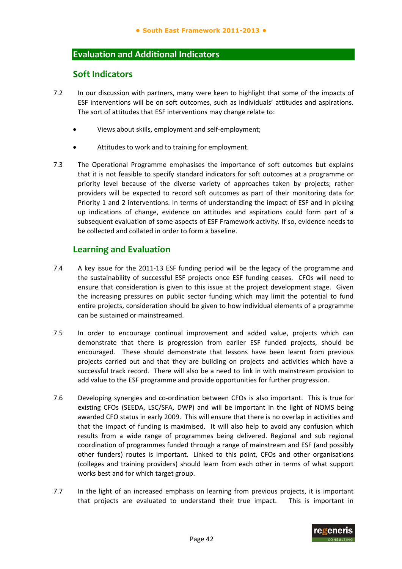## **Evaluation and Additional Indicators**

## **Soft Indicators**

- 7.2 In our discussion with partners, many were keen to highlight that some of the impacts of ESF interventions will be on soft outcomes, such as individuals' attitudes and aspirations. The sort of attitudes that ESF interventions may change relate to:
	- Views about skills, employment and self‐employment;
	- Attitudes to work and to training for employment.
- 7.3 The Operational Programme emphasises the importance of soft outcomes but explains that it is not feasible to specify standard indicators for soft outcomes at a programme or priority level because of the diverse variety of approaches taken by projects; rather providers will be expected to record soft outcomes as part of their monitoring data for Priority 1 and 2 interventions. In terms of understanding the impact of ESF and in picking up indications of change, evidence on attitudes and aspirations could form part of a subsequent evaluation of some aspects of ESF Framework activity. If so, evidence needs to be collected and collated in order to form a baseline.

## **Learning and Evaluation**

- 7.4 A key issue for the 2011-13 ESF funding period will be the legacy of the programme and the sustainability of successful ESF projects once ESF funding ceases. CFOs will need to ensure that consideration is given to this issue at the project development stage. Given the increasing pressures on public sector funding which may limit the potential to fund entire projects, consideration should be given to how individual elements of a programme can be sustained or mainstreamed.
- 7.5 In order to encourage continual improvement and added value, projects which can demonstrate that there is progression from earlier ESF funded projects, should be encouraged. These should demonstrate that lessons have been learnt from previous projects carried out and that they are building on projects and activities which have a successful track record. There will also be a need to link in with mainstream provision to add value to the ESF programme and provide opportunities for further progression.
- 7.6 Developing synergies and co-ordination between CFOs is also important. This is true for existing CFOs (SEEDA, LSC/SFA, DWP) and will be important in the light of NOMS being awarded CFO status in early 2009. This will ensure that there is no overlap in activities and that the impact of funding is maximised. It will also help to avoid any confusion which results from a wide range of programmes being delivered. Regional and sub regional coordination of programmes funded through a range of mainstream and ESF (and possibly other funders) routes is important. Linked to this point, CFOs and other organisations (colleges and training providers) should learn from each other in terms of what support works best and for which target group.
- 7.7 In the light of an increased emphasis on learning from previous projects, it is important that projects are evaluated to understand their true impact. This is important in

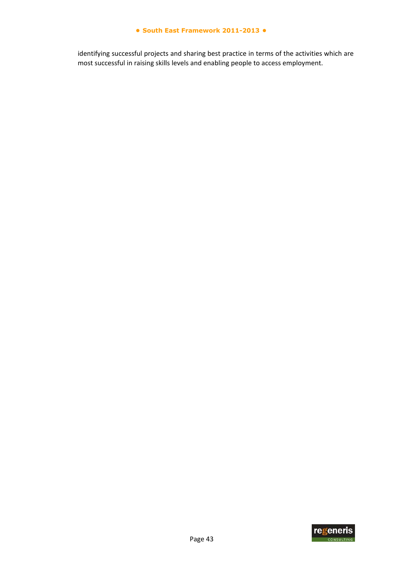#### **● South East Framework 2011-2013 ●**

identifying successful projects and sharing best practice in terms of the activities which are most successful in raising skills levels and enabling people to access employment.

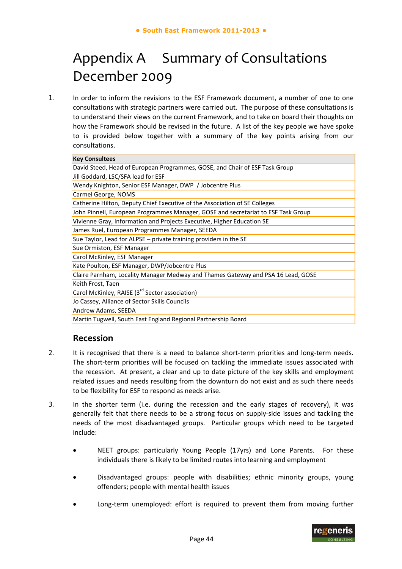# Appendix A Summary of Consultations December 2009

1. In order to inform the revisions to the ESF Framework document, a number of one to one consultations with strategic partners were carried out. The purpose of these consultations is to understand their views on the current Framework, and to take on board their thoughts on how the Framework should be revised in the future. A list of the key people we have spoke to is provided below together with a summary of the key points arising from our consultations.

| <b>Key Consultees</b>                                                             |
|-----------------------------------------------------------------------------------|
| David Steed, Head of European Programmes, GOSE, and Chair of ESF Task Group       |
| Jill Goddard, LSC/SFA lead for ESF                                                |
| Wendy Knighton, Senior ESF Manager, DWP / Jobcentre Plus                          |
| Carmel George, NOMS                                                               |
| Catherine Hilton, Deputy Chief Executive of the Association of SE Colleges        |
| John Pinnell, European Programmes Manager, GOSE and secretariat to ESF Task Group |
| Vivienne Gray, Information and Projects Executive, Higher Education SE            |
| James Ruel, European Programmes Manager, SEEDA                                    |
| Sue Taylor, Lead for ALPSE - private training providers in the SE                 |
| Sue Ormiston, ESF Manager                                                         |
| Carol McKinley, ESF Manager                                                       |
| Kate Poulton, ESF Manager, DWP/Jobcentre Plus                                     |
| Claire Parnham, Locality Manager Medway and Thames Gateway and PSA 16 Lead, GOSE  |
| Keith Frost, Taen                                                                 |
| Carol McKinley, RAISE (3 <sup>rd</sup> Sector association)                        |
| Jo Cassey, Alliance of Sector Skills Councils                                     |
| Andrew Adams, SEEDA                                                               |
| Martin Tugwell, South East England Regional Partnership Board                     |

## **Recession**

- 2. It is recognised that there is a need to balance short-term priorities and long-term needs. The short-term priorities will be focused on tackling the immediate issues associated with the recession. At present, a clear and up to date picture of the key skills and employment related issues and needs resulting from the downturn do not exist and as such there needs to be flexibility for ESF to respond as needs arise.
- 3. In the shorter term (i.e. during the recession and the early stages of recovery), it was generally felt that there needs to be a strong focus on supply‐side issues and tackling the needs of the most disadvantaged groups. Particular groups which need to be targeted include:
	- NEET groups: particularly Young People (17yrs) and Lone Parents. For these individuals there is likely to be limited routes into learning and employment
	- Disadvantaged groups: people with disabilities; ethnic minority groups, young offenders; people with mental health issues
	- Long-term unemployed: effort is required to prevent them from moving further

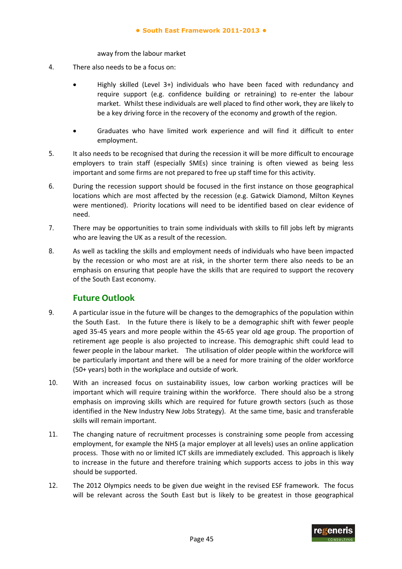away from the labour market

- 4. There also needs to be a focus on:
	- Highly skilled (Level 3+) individuals who have been faced with redundancy and require support (e.g. confidence building or retraining) to re‐enter the labour market. Whilst these individuals are well placed to find other work, they are likely to be a key driving force in the recovery of the economy and growth of the region.
	- Graduates who have limited work experience and will find it difficult to enter employment.
- 5. It also needs to be recognised that during the recession it will be more difficult to encourage employers to train staff (especially SMEs) since training is often viewed as being less important and some firms are not prepared to free up staff time for this activity.
- 6. During the recession support should be focused in the first instance on those geographical locations which are most affected by the recession (e.g. Gatwick Diamond, Milton Keynes were mentioned). Priority locations will need to be identified based on clear evidence of need.
- 7. There may be opportunities to train some individuals with skills to fill jobs left by migrants who are leaving the UK as a result of the recession.
- 8. As well as tackling the skills and employment needs of individuals who have been impacted by the recession or who most are at risk, in the shorter term there also needs to be an emphasis on ensuring that people have the skills that are required to support the recovery of the South East economy.

## **Future Outlook**

- 9. A particular issue in the future will be changes to the demographics of the population within the South East. In the future there is likely to be a demographic shift with fewer people aged 35‐45 years and more people within the 45‐65 year old age group. The proportion of retirement age people is also projected to increase. This demographic shift could lead to fewer people in the labour market. The utilisation of older people within the workforce will be particularly important and there will be a need for more training of the older workforce (50+ years) both in the workplace and outside of work.
- 10. With an increased focus on sustainability issues, low carbon working practices will be important which will require training within the workforce. There should also be a strong emphasis on improving skills which are required for future growth sectors (such as those identified in the New Industry New Jobs Strategy). At the same time, basic and transferable skills will remain important.
- 11. The changing nature of recruitment processes is constraining some people from accessing employment, for example the NHS (a major employer at all levels) uses an online application process. Those with no or limited ICT skills are immediately excluded. This approach is likely to increase in the future and therefore training which supports access to jobs in this way should be supported.
- 12. The 2012 Olympics needs to be given due weight in the revised ESF framework. The focus will be relevant across the South East but is likely to be greatest in those geographical

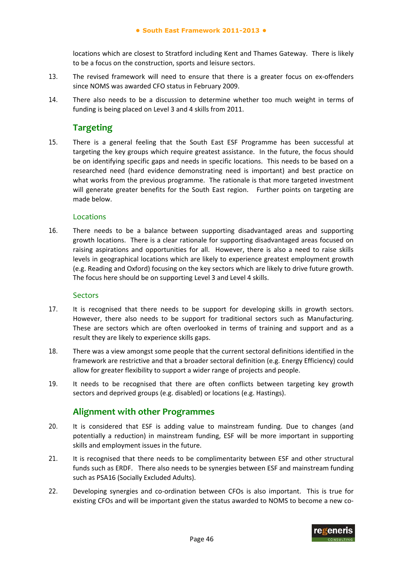locations which are closest to Stratford including Kent and Thames Gateway. There is likely to be a focus on the construction, sports and leisure sectors.

- 13. The revised framework will need to ensure that there is a greater focus on ex-offenders since NOMS was awarded CFO status in February 2009.
- 14. There also needs to be a discussion to determine whether too much weight in terms of funding is being placed on Level 3 and 4 skills from 2011.

# **Targeting**

15. There is a general feeling that the South East ESF Programme has been successful at targeting the key groups which require greatest assistance. In the future, the focus should be on identifying specific gaps and needs in specific locations. This needs to be based on a researched need (hard evidence demonstrating need is important) and best practice on what works from the previous programme. The rationale is that more targeted investment will generate greater benefits for the South East region. Further points on targeting are made below.

## Locations

16. There needs to be a balance between supporting disadvantaged areas and supporting growth locations. There is a clear rationale for supporting disadvantaged areas focused on raising aspirations and opportunities for all. However, there is also a need to raise skills levels in geographical locations which are likely to experience greatest employment growth (e.g. Reading and Oxford) focusing on the key sectors which are likely to drive future growth. The focus here should be on supporting Level 3 and Level 4 skills.

## **Sectors**

- 17. It is recognised that there needs to be support for developing skills in growth sectors. However, there also needs to be support for traditional sectors such as Manufacturing. These are sectors which are often overlooked in terms of training and support and as a result they are likely to experience skills gaps.
- 18. There was a view amongst some people that the current sectoral definitions identified in the framework are restrictive and that a broader sectoral definition (e.g. Energy Efficiency) could allow for greater flexibility to support a wider range of projects and people.
- 19. It needs to be recognised that there are often conflicts between targeting key growth sectors and deprived groups (e.g. disabled) or locations (e.g. Hastings).

## **Alignment with other Programmes**

- 20. It is considered that ESF is adding value to mainstream funding. Due to changes (and potentially a reduction) in mainstream funding, ESF will be more important in supporting skills and employment issues in the future.
- 21. It is recognised that there needs to be complimentarity between ESF and other structural funds such as ERDF. There also needs to be synergies between ESF and mainstream funding such as PSA16 (Socially Excluded Adults).
- 22. Developing synergies and co-ordination between CFOs is also important. This is true for existing CFOs and will be important given the status awarded to NOMS to become a new co-

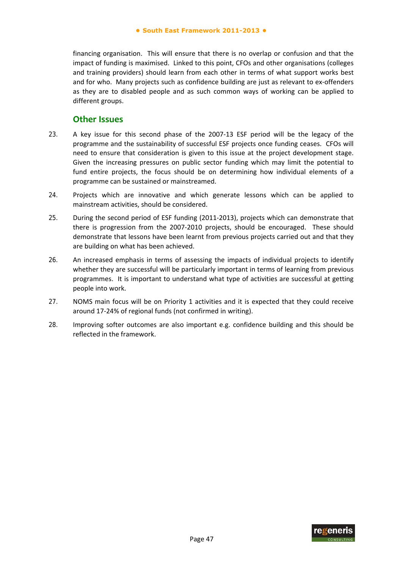financing organisation. This will ensure that there is no overlap or confusion and that the impact of funding is maximised. Linked to this point, CFOs and other organisations (colleges and training providers) should learn from each other in terms of what support works best and for who. Many projects such as confidence building are just as relevant to ex‐offenders as they are to disabled people and as such common ways of working can be applied to different groups.

## **Other Issues**

- 23. A key issue for this second phase of the 2007‐13 ESF period will be the legacy of the programme and the sustainability of successful ESF projects once funding ceases. CFOs will need to ensure that consideration is given to this issue at the project development stage. Given the increasing pressures on public sector funding which may limit the potential to fund entire projects, the focus should be on determining how individual elements of a programme can be sustained or mainstreamed.
- 24. Projects which are innovative and which generate lessons which can be applied to mainstream activities, should be considered.
- 25. During the second period of ESF funding (2011-2013), projects which can demonstrate that there is progression from the 2007‐2010 projects, should be encouraged. These should demonstrate that lessons have been learnt from previous projects carried out and that they are building on what has been achieved.
- 26. An increased emphasis in terms of assessing the impacts of individual projects to identify whether they are successful will be particularly important in terms of learning from previous programmes. It is important to understand what type of activities are successful at getting people into work.
- 27. NOMS main focus will be on Priority 1 activities and it is expected that they could receive around 17‐24% of regional funds (not confirmed in writing).
- 28. Improving softer outcomes are also important e.g. confidence building and this should be reflected in the framework.

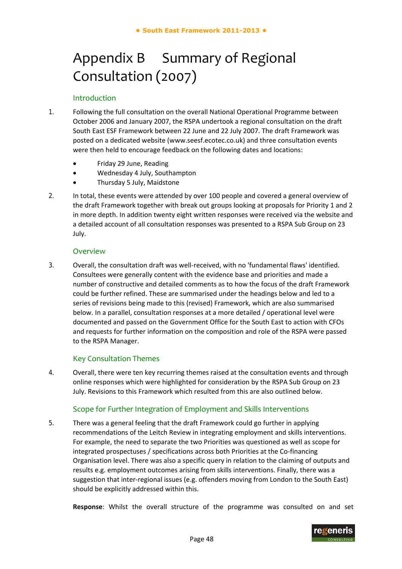# Appendix B Summary of Regional Consultation (2007)

#### Introduction

- 1. Following the full consultation on the overall National Operational Programme between October 2006 and January 2007, the RSPA undertook a regional consultation on the draft South East ESF Framework between 22 June and 22 July 2007. The draft Framework was posted on a dedicated website (www.seesf.ecotec.co.uk) and three consultation events were then held to encourage feedback on the following dates and locations:
	- Friday 29 June, Reading
	- Wednesday 4 July, Southampton
	- Thursday 5 July, Maidstone
- 2. In total, these events were attended by over 100 people and covered a general overview of the draft Framework together with break out groups looking at proposals for Priority 1 and 2 in more depth. In addition twenty eight written responses were received via the website and a detailed account of all consultation responses was presented to a RSPA Sub Group on 23 July.

#### Overview

3. Overall, the consultation draft was well‐received, with no 'fundamental flaws' identified. Consultees were generally content with the evidence base and priorities and made a number of constructive and detailed comments as to how the focus of the draft Framework could be further refined. These are summarised under the headings below and led to a series of revisions being made to this (revised) Framework, which are also summarised below. In a parallel, consultation responses at a more detailed / operational level were documented and passed on the Government Office for the South East to action with CFOs and requests for further information on the composition and role of the RSPA were passed to the RSPA Manager.

#### Key Consultation Themes

4. Overall, there were ten key recurring themes raised at the consultation events and through online responses which were highlighted for consideration by the RSPA Sub Group on 23 July. Revisions to this Framework which resulted from this are also outlined below.

## Scope for Further Integration of Employment and Skills Interventions

5. There was a general feeling that the draft Framework could go further in applying recommendations of the Leitch Review in integrating employment and skills interventions. For example, the need to separate the two Priorities was questioned as well as scope for integrated prospectuses / specifications across both Priorities at the Co-financing Organisation level. There was also a specific query in relation to the claiming of outputs and results e.g. employment outcomes arising from skills interventions. Finally, there was a suggestion that inter-regional issues (e.g. offenders moving from London to the South East) should be explicitly addressed within this.

**Response**: Whilst the overall structure of the programme was consulted on and set

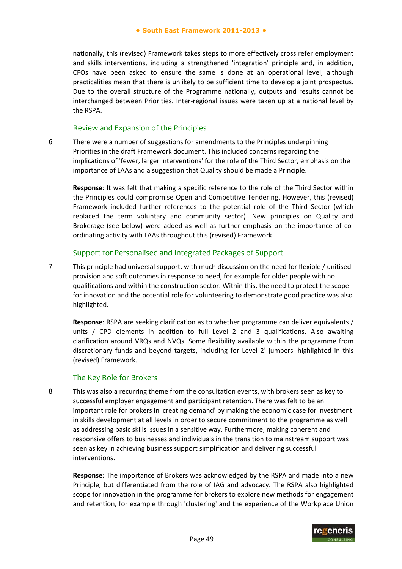nationally, this (revised) Framework takes steps to more effectively cross refer employment and skills interventions, including a strengthened 'integration' principle and, in addition, CFOs have been asked to ensure the same is done at an operational level, although practicalities mean that there is unlikely to be sufficient time to develop a joint prospectus. Due to the overall structure of the Programme nationally, outputs and results cannot be interchanged between Priorities. Inter-regional issues were taken up at a national level by the RSPA.

#### Review and Expansion of the Principles

6. There were a number of suggestions for amendments to the Principles underpinning Priorities in the draft Framework document. This included concerns regarding the implications of 'fewer, larger interventions' for the role of the Third Sector, emphasis on the importance of LAAs and a suggestion that Quality should be made a Principle.

**Response**: It was felt that making a specific reference to the role of the Third Sector within the Principles could compromise Open and Competitive Tendering. However, this (revised) Framework included further references to the potential role of the Third Sector (which replaced the term voluntary and community sector). New principles on Quality and Brokerage (see below) were added as well as further emphasis on the importance of co‐ ordinating activity with LAAs throughout this (revised) Framework.

## Support for Personalised and Integrated Packages of Support

7. This principle had universal support, with much discussion on the need for flexible / unitised provision and soft outcomes in response to need, for example for older people with no qualifications and within the construction sector. Within this, the need to protect the scope for innovation and the potential role for volunteering to demonstrate good practice was also highlighted.

**Response**: RSPA are seeking clarification as to whether programme can deliver equivalents / units / CPD elements in addition to full Level 2 and 3 qualifications. Also awaiting clarification around VRQs and NVQs. Some flexibility available within the programme from discretionary funds and beyond targets, including for Level 2' jumpers' highlighted in this (revised) Framework.

#### The Key Role for Brokers

8. This was also a recurring theme from the consultation events, with brokers seen as key to successful employer engagement and participant retention. There was felt to be an important role for brokers in 'creating demand' by making the economic case for investment in skills development at all levels in order to secure commitment to the programme as well as addressing basic skills issues in a sensitive way. Furthermore, making coherent and responsive offers to businesses and individuals in the transition to mainstream support was seen as key in achieving business support simplification and delivering successful interventions.

**Response**: The importance of Brokers was acknowledged by the RSPA and made into a new Principle, but differentiated from the role of IAG and advocacy. The RSPA also highlighted scope for innovation in the programme for brokers to explore new methods for engagement and retention, for example through 'clustering' and the experience of the Workplace Union

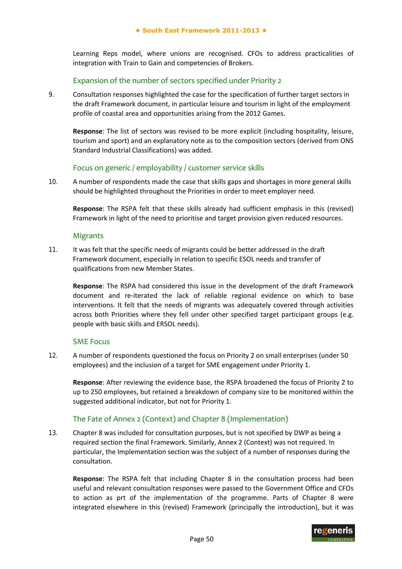Learning Reps model, where unions are recognised. CFOs to address practicalities of integration with Train to Gain and competencies of Brokers.

#### Expansion of the number of sectors specified under Priority 2

9. Consultation responses highlighted the case for the specification of further target sectors in the draft Framework document, in particular leisure and tourism in light of the employment profile of coastal area and opportunities arising from the 2012 Games.

**Response**: The list of sectors was revised to be more explicit (including hospitality, leisure, tourism and sport) and an explanatory note as to the composition sectors (derived from ONS Standard Industrial Classifications) was added.

#### Focus on generic / employability / customer service skills

10. A number of respondents made the case that skills gaps and shortages in more general skills should be highlighted throughout the Priorities in order to meet employer need.

**Response**: The RSPA felt that these skills already had sufficient emphasis in this (revised) Framework in light of the need to prioritise and target provision given reduced resources.

#### Migrants

11. It was felt that the specific needs of migrants could be better addressed in the draft Framework document, especially in relation to specific ESOL needs and transfer of qualifications from new Member States.

**Response**: The RSPA had considered this issue in the development of the draft Framework document and re‐iterated the lack of reliable regional evidence on which to base interventions. It felt that the needs of migrants was adequately covered through activities across both Priorities where they fell under other specified target participant groups (e.g. people with basic skills and ERSOL needs).

#### SME Focus

12. A number of respondents questioned the focus on Priority 2 on small enterprises (under 50 employees) and the inclusion of a target for SME engagement under Priority 1.

**Response**: After reviewing the evidence base, the RSPA broadened the focus of Priority 2 to up to 250 employees, but retained a breakdown of company size to be monitored within the suggested additional indicator, but not for Priority 1.

## The Fate of Annex 2 (Context) and Chapter 8 (Implementation)

13. Chapter 8 was included for consultation purposes, but is not specified by DWP as being a required section the final Framework. Similarly, Annex 2 (Context) was not required. In particular, the Implementation section was the subject of a number of responses during the consultation.

**Response**: The RSPA felt that including Chapter 8 in the consultation process had been useful and relevant consultation responses were passed to the Government Office and CFOs to action as prt of the implementation of the programme. Parts of Chapter 8 were integrated elsewhere in this (revised) Framework (principally the introduction), but it was

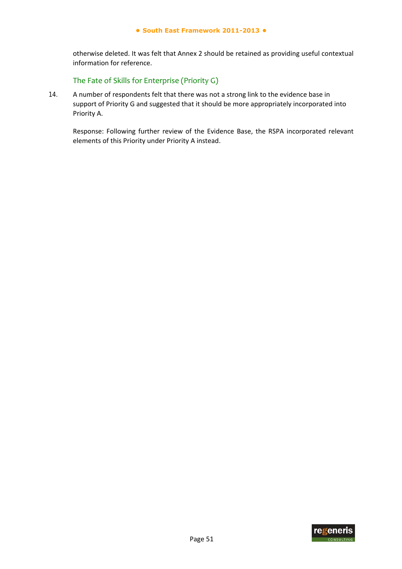otherwise deleted. It was felt that Annex 2 should be retained as providing useful contextual information for reference.

### The Fate of Skills for Enterprise (Priority G)

14. A number of respondents felt that there was not a strong link to the evidence base in support of Priority G and suggested that it should be more appropriately incorporated into Priority A.

Response: Following further review of the Evidence Base, the RSPA incorporated relevant elements of this Priority under Priority A instead.

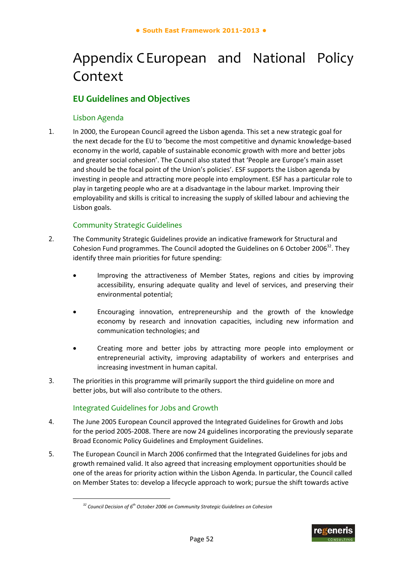# Appendix CEuropean and National Policy Context

# **EU Guidelines and Objectives**

## Lisbon Agenda

1. In 2000, the European Council agreed the Lisbon agenda. This set a new strategic goal for the next decade for the EU to 'become the most competitive and dynamic knowledge‐based economy in the world, capable of sustainable economic growth with more and better jobs and greater social cohesion'. The Council also stated that 'People are Europe's main asset and should be the focal point of the Union's policies'. ESF supports the Lisbon agenda by investing in people and attracting more people into employment. ESF has a particular role to play in targeting people who are at a disadvantage in the labour market. Improving their employability and skills is critical to increasing the supply of skilled labour and achieving the Lisbon goals.

## Community Strategic Guidelines

- 2. The Community Strategic Guidelines provide an indicative framework for Structural and Cohesion Fund programmes. The Council adopted the Guidelines on 6 October 2006<sup>32</sup>. They identify three main priorities for future spending:
	- Improving the attractiveness of Member States, regions and cities by improving accessibility, ensuring adequate quality and level of services, and preserving their environmental potential;
	- Encouraging innovation, entrepreneurship and the growth of the knowledge economy by research and innovation capacities, including new information and communication technologies; and
	- Creating more and better jobs by attracting more people into employment or entrepreneurial activity, improving adaptability of workers and enterprises and increasing investment in human capital.
- 3. The priorities in this programme will primarily support the third guideline on more and better jobs, but will also contribute to the others.

## Integrated Guidelines for Jobs and Growth

-

- 4. The June 2005 European Council approved the Integrated Guidelines for Growth and Jobs for the period 2005‐2008. There are now 24 guidelines incorporating the previously separate Broad Economic Policy Guidelines and Employment Guidelines.
- 5. The European Council in March 2006 confirmed that the Integrated Guidelines for jobs and growth remained valid. It also agreed that increasing employment opportunities should be one of the areas for priority action within the Lisbon Agenda. In particular, the Council called on Member States to: develop a lifecycle approach to work; pursue the shift towards active



*<sup>32</sup> Council Decision of 6 th October 2006 on Community Strategic Guidelines on Cohesion*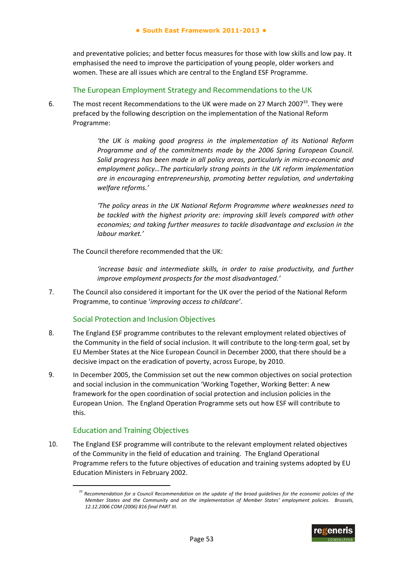and preventative policies; and better focus measures for those with low skills and low pay. It emphasised the need to improve the participation of young people, older workers and women. These are all issues which are central to the England ESF Programme.

The European Employment Strategy and Recommendations to the UK

6. The most recent Recommendations to the UK were made on 27 March 2007<sup>33</sup>. They were prefaced by the following description on the implementation of the National Reform Programme:

> *'the UK is making good progress in the implementation of its National Reform Programme and of the commitments made by the 2006 Spring European Council. Solid progress has been made in all policy areas, particularly in micro‐economic and employment policy…The particularly strong points in the UK reform implementation are in encouraging entrepreneurship, promoting better regulation, and undertaking welfare reforms.'*

> *'The policy areas in the UK National Reform Programme where weaknesses need to be tackled with the highest priority are: improving skill levels compared with other economies; and taking further measures to tackle disadvantage and exclusion in the labour market.'*

The Council therefore recommended that the UK:

*'increase basic and intermediate skills, in order to raise productivity, and further improve employment prospects for the most disadvantaged.'* 

7. The Council also considered it important for the UK over the period of the National Reform Programme, to continue '*improving access to childcare'*.

#### Social Protection and Inclusion Objectives

- 8. The England ESF programme contributes to the relevant employment related objectives of the Community in the field of social inclusion. It will contribute to the long-term goal, set by EU Member States at the Nice European Council in December 2000, that there should be a decisive impact on the eradication of poverty, across Europe, by 2010.
- 9. In December 2005, the Commission set out the new common objectives on social protection and social inclusion in the communication 'Working Together, Working Better: A new framework for the open coordination of social protection and inclusion policies in the European Union. The England Operation Programme sets out how ESF will contribute to this.

#### Education and Training Objectives

-

10. The England ESF programme will contribute to the relevant employment related objectives of the Community in the field of education and training. The England Operational Programme refers to the future objectives of education and training systems adopted by EU Education Ministers in February 2002.

<sup>&</sup>lt;sup>33</sup> Recommendation for a Council Recommendation on the update of the broad guidelines for the economic policies of the *Member States and the Community and on the implementation of Member States' employment policies. Brussels, 12.12.2006 COM (2006) 816 final PART III.*

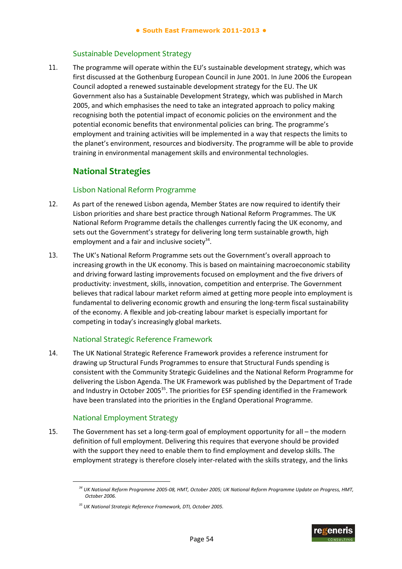### Sustainable Development Strategy

11. The programme will operate within the EU's sustainable development strategy, which was first discussed at the Gothenburg European Council in June 2001. In June 2006 the European Council adopted a renewed sustainable development strategy for the EU. The UK Government also has a Sustainable Development Strategy, which was published in March 2005, and which emphasises the need to take an integrated approach to policy making recognising both the potential impact of economic policies on the environment and the potential economic benefits that environmental policies can bring. The programme's employment and training activities will be implemented in a way that respects the limits to the planet's environment, resources and biodiversity. The programme will be able to provide training in environmental management skills and environmental technologies.

## **National Strategies**

## Lisbon National Reform Programme

- 12. As part of the renewed Lisbon agenda, Member States are now required to identify their Lisbon priorities and share best practice through National Reform Programmes. The UK National Reform Programme details the challenges currently facing the UK economy, and sets out the Government's strategy for delivering long term sustainable growth, high employment and a fair and inclusive society $34$ .
- 13. The UK's National Reform Programme sets out the Government's overall approach to increasing growth in the UK economy. This is based on maintaining macroeconomic stability and driving forward lasting improvements focused on employment and the five drivers of productivity: investment, skills, innovation, competition and enterprise. The Government believes that radical labour market reform aimed at getting more people into employment is fundamental to delivering economic growth and ensuring the long-term fiscal sustainability of the economy. A flexible and job-creating labour market is especially important for competing in today's increasingly global markets.

## National Strategic Reference Framework

14. The UK National Strategic Reference Framework provides a reference instrument for drawing up Structural Funds Programmes to ensure that Structural Funds spending is consistent with the Community Strategic Guidelines and the National Reform Programme for delivering the Lisbon Agenda. The UK Framework was published by the Department of Trade and Industry in October 2005 $^{35}$ . The priorities for ESF spending identified in the Framework have been translated into the priorities in the England Operational Programme.

## National Employment Strategy

-

15. The Government has set a long-term goal of employment opportunity for all – the modern definition of full employment. Delivering this requires that everyone should be provided with the support they need to enable them to find employment and develop skills. The employment strategy is therefore closely inter-related with the skills strategy, and the links



<sup>&</sup>lt;sup>34</sup> UK National Reform Programme 2005-08, HMT, October 2005; UK National Reform Programme Update on Progress, HMT, *October 2006.*

*<sup>35</sup> UK National Strategic Reference Framework, DTI, October 2005.*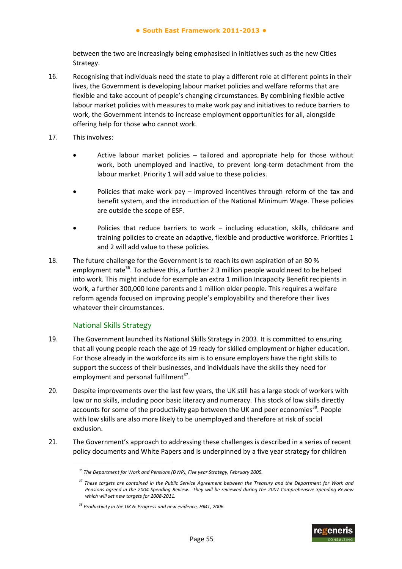between the two are increasingly being emphasised in initiatives such as the new Cities Strategy.

- 16. Recognising that individuals need the state to play a different role at different points in their lives, the Government is developing labour market policies and welfare reforms that are flexible and take account of people's changing circumstances. By combining flexible active labour market policies with measures to make work pay and initiatives to reduce barriers to work, the Government intends to increase employment opportunities for all, alongside offering help for those who cannot work.
- 17. This involves:
	- Active labour market policies tailored and appropriate help for those without work, both unemployed and inactive, to prevent long-term detachment from the labour market. Priority 1 will add value to these policies.
	- Policies that make work pay improved incentives through reform of the tax and benefit system, and the introduction of the National Minimum Wage. These policies are outside the scope of ESF.
	- Policies that reduce barriers to work including education, skills, childcare and training policies to create an adaptive, flexible and productive workforce. Priorities 1 and 2 will add value to these policies.
- 18. The future challenge for the Government is to reach its own aspiration of an 80 % employment rate<sup>36</sup>. To achieve this, a further 2.3 million people would need to be helped into work. This might include for example an extra 1 million Incapacity Benefit recipients in work, a further 300,000 lone parents and 1 million older people. This requires a welfare reform agenda focused on improving people's employability and therefore their lives whatever their circumstances.

## National Skills Strategy

-

- 19. The Government launched its National Skills Strategy in 2003. It is committed to ensuring that all young people reach the age of 19 ready for skilled employment or higher education. For those already in the workforce its aim is to ensure employers have the right skills to support the success of their businesses, and individuals have the skills they need for employment and personal fulfilment<sup>37</sup>.
- 20. Despite improvements over the last few years, the UK still has a large stock of workers with low or no skills, including poor basic literacy and numeracy. This stock of low skills directly accounts for some of the productivity gap between the UK and peer economies<sup>38</sup>. People with low skills are also more likely to be unemployed and therefore at risk of social exclusion.
- 21. The Government's approach to addressing these challenges is described in a series of recent policy documents and White Papers and is underpinned by a five year strategy for children



*<sup>36</sup> The Department for Work and Pensions (DWP), Five year Strategy, February 2005.*

<sup>&</sup>lt;sup>37</sup> These targets are contained in the Public Service Agreement between the Treasury and the Department for Work and Pensions agreed in the 2004 Spending Review. They will be reviewed during the 2007 Comprehensive Spending Review *which will set new targets for 2008‐2011.*

*<sup>38</sup> Productivity in the UK 6: Progress and new evidence, HMT, 2006.*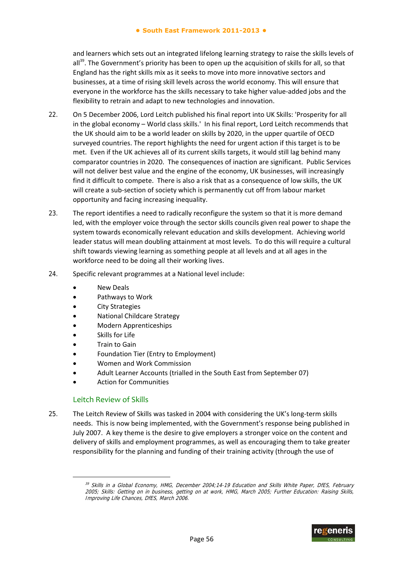and learners which sets out an integrated lifelong learning strategy to raise the skills levels of all<sup>39</sup>. The Government's priority has been to open up the acquisition of skills for all, so that England has the right skills mix as it seeks to move into more innovative sectors and businesses, at a time of rising skill levels across the world economy. This will ensure that everyone in the workforce has the skills necessary to take higher value‐added jobs and the flexibility to retrain and adapt to new technologies and innovation.

- 22. On 5 December 2006, Lord Leitch published his final report into UK Skills: 'Prosperity for all in the global economy – World class skills.' In his final report, Lord Leitch recommends that the UK should aim to be a world leader on skills by 2020, in the upper quartile of OECD surveyed countries. The report highlights the need for urgent action if this target is to be met. Even if the UK achieves all of its current skills targets, it would still lag behind many comparator countries in 2020. The consequences of inaction are significant. Public Services will not deliver best value and the engine of the economy, UK businesses, will increasingly find it difficult to compete. There is also a risk that as a consequence of low skills, the UK will create a sub‐section of society which is permanently cut off from labour market opportunity and facing increasing inequality.
- 23. The report identifies a need to radically reconfigure the system so that it is more demand led, with the employer voice through the sector skills councils given real power to shape the system towards economically relevant education and skills development. Achieving world leader status will mean doubling attainment at most levels. To do this will require a cultural shift towards viewing learning as something people at all levels and at all ages in the workforce need to be doing all their working lives.
- 24. Specific relevant programmes at a National level include:
	- New Deals
	- Pathways to Work
	- City Strategies
	- National Childcare Strategy
	- Modern Apprenticeships
	- Skills for Life
	- Train to Gain
	- Foundation Tier (Entry to Employment)
	- Women and Work Commission
	- Adult Learner Accounts (trialled in the South East from September 07)
	- Action for Communities

#### Leitch Review of Skills

-

25. The Leitch Review of Skills was tasked in 2004 with considering the UK's long-term skills needs. This is now being implemented, with the Government's response being published in July 2007. A key theme is the desire to give employers a stronger voice on the content and delivery of skills and employment programmes, as well as encouraging them to take greater responsibility for the planning and funding of their training activity (through the use of

<sup>&</sup>lt;sup>39</sup> Skills in a Global Economy, HMG, December 2004;14-19 Education and Skills White Paper, DfES, February 2005; Skills: Getting on in business, getting on at work, HMG, March 2005; Further Education: Raising Skills, Improving Life Chances, DfES, March 2006.

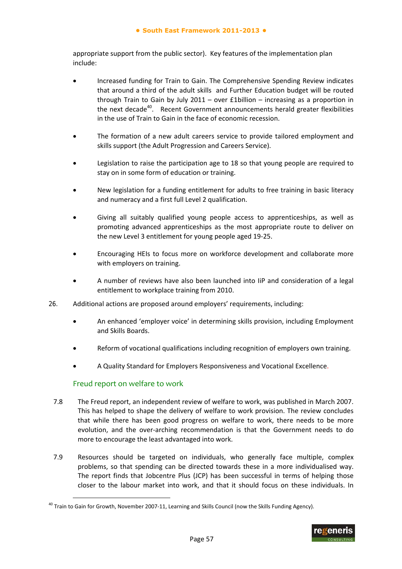appropriate support from the public sector). Key features of the implementation plan include:

- Increased funding for Train to Gain. The Comprehensive Spending Review indicates that around a third of the adult skills and Further Education budget will be routed through Train to Gain by July 2011 – over £1billion – increasing as a proportion in the next decade<sup>40</sup>. Recent Government announcements herald greater flexibilities in the use of Train to Gain in the face of economic recession.
- The formation of a new adult careers service to provide tailored employment and skills support (the Adult Progression and Careers Service).
- Legislation to raise the participation age to 18 so that young people are required to stay on in some form of education or training.
- New legislation for a funding entitlement for adults to free training in basic literacy and numeracy and a first full Level 2 qualification.
- Giving all suitably qualified young people access to apprenticeships, as well as promoting advanced apprenticeships as the most appropriate route to deliver on the new Level 3 entitlement for young people aged 19‐25.
- Encouraging HEIs to focus more on workforce development and collaborate more with employers on training.
- A number of reviews have also been launched into IiP and consideration of a legal entitlement to workplace training from 2010.
- 26. Additional actions are proposed around employers' requirements, including:
	- An enhanced 'employer voice' in determining skills provision, including Employment and Skills Boards.
	- Reform of vocational qualifications including recognition of employers own training.
	- A Quality Standard for Employers Responsiveness and Vocational Excellence.

## Freud report on welfare to work

-

- 7.8 The Freud report, an independent review of welfare to work, was published in March 2007. This has helped to shape the delivery of welfare to work provision. The review concludes that while there has been good progress on welfare to work, there needs to be more evolution, and the over-arching recommendation is that the Government needs to do more to encourage the least advantaged into work.
- 7.9 Resources should be targeted on individuals, who generally face multiple, complex problems, so that spending can be directed towards these in a more individualised way. The report finds that Jobcentre Plus (JCP) has been successful in terms of helping those closer to the labour market into work, and that it should focus on these individuals. In

<sup>&</sup>lt;sup>40</sup> Train to Gain for Growth, November 2007-11, Learning and Skills Council (now the Skills Funding Agency).

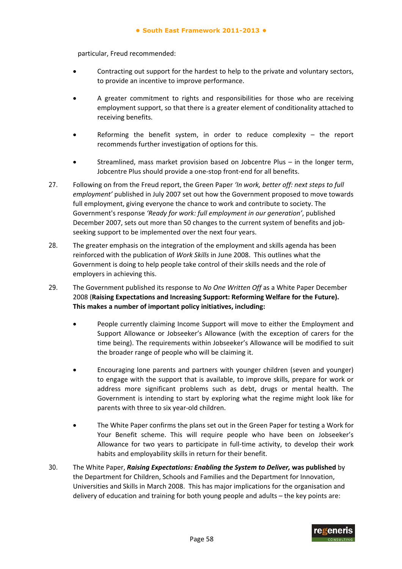particular, Freud recommended:

- Contracting out support for the hardest to help to the private and voluntary sectors, to provide an incentive to improve performance.
- A greater commitment to rights and responsibilities for those who are receiving employment support, so that there is a greater element of conditionality attached to receiving benefits.
- Reforming the benefit system, in order to reduce complexity the report recommends further investigation of options for this.
- Streamlined, mass market provision based on Jobcentre Plus in the longer term, Jobcentre Plus should provide a one‐stop front‐end for all benefits.
- 27. Following on from the Freud report, the Green Paper *'In work, better off: next steps to full employment'* published in July 2007 set out how the Government proposed to move towards full employment, giving everyone the chance to work and contribute to society. The Government's response *'Ready for work: full employment in our generation'*, published December 2007, sets out more than 50 changes to the current system of benefits and jobseeking support to be implemented over the next four years.
- 28. The greater emphasis on the integration of the employment and skills agenda has been reinforced with the publication of *Work Skills* in June 2008. This outlines what the Government is doing to help people take control of their skills needs and the role of employers in achieving this.
- 29. The Government published its response to *No One Written Off* as a White Paper December 2008 (**Raising Expectations and Increasing Support: Reforming Welfare for the Future). This makes a number of important policy initiatives, including:**
	- People currently claiming Income Support will move to either the Employment and Support Allowance or Jobseeker's Allowance (with the exception of carers for the time being). The requirements within Jobseeker's Allowance will be modified to suit the broader range of people who will be claiming it.
	- Encouraging lone parents and partners with younger children (seven and younger) to engage with the support that is available, to improve skills, prepare for work or address more significant problems such as debt, drugs or mental health. The Government is intending to start by exploring what the regime might look like for parents with three to six year‐old children.
	- The White Paper confirms the plans set out in the Green Paper for testing a Work for Your Benefit scheme. This will require people who have been on Jobseeker's Allowance for two years to participate in full-time activity, to develop their work habits and employability skills in return for their benefit.
- 30. The White Paper, *Raising Expectations: Enabling the System to Deliver,* **was published** by the Department for Children, Schools and Families and the Department for Innovation, Universities and Skills in March 2008. This has major implications for the organisation and delivery of education and training for both young people and adults – the key points are:

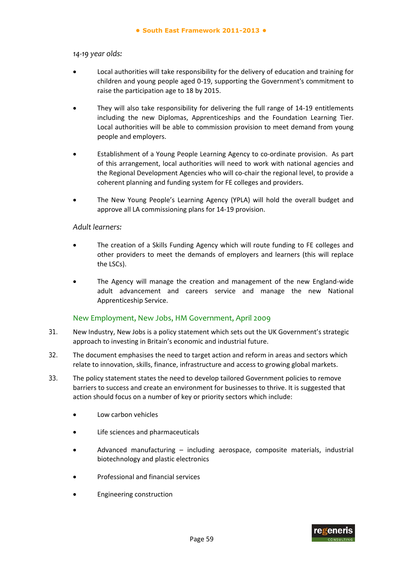#### *14‐19 year olds:*

- Local authorities will take responsibility for the delivery of education and training for children and young people aged 0‐19, supporting the Government's commitment to raise the participation age to 18 by 2015.
- They will also take responsibility for delivering the full range of 14‐19 entitlements including the new Diplomas, Apprenticeships and the Foundation Learning Tier. Local authorities will be able to commission provision to meet demand from young people and employers.
- Establishment of a Young People Learning Agency to co-ordinate provision. As part of this arrangement, local authorities will need to work with national agencies and the Regional Development Agencies who will co-chair the regional level, to provide a coherent planning and funding system for FE colleges and providers.
- The New Young People's Learning Agency (YPLA) will hold the overall budget and approve all LA commissioning plans for 14‐19 provision.

#### *Adult learners:*

- The creation of a Skills Funding Agency which will route funding to FE colleges and other providers to meet the demands of employers and learners (this will replace the LSCs).
- The Agency will manage the creation and management of the new England‐wide adult advancement and careers service and manage the new National Apprenticeship Service.

## New Employment, New Jobs, HM Government, April 2009

- 31. New Industry, New Jobs is a policy statement which sets out the UK Government's strategic approach to investing in Britain's economic and industrial future.
- 32. The document emphasises the need to target action and reform in areas and sectors which relate to innovation, skills, finance, infrastructure and access to growing global markets.
- 33. The policy statement states the need to develop tailored Government policies to remove barriers to success and create an environment for businesses to thrive. It is suggested that action should focus on a number of key or priority sectors which include:
	- Low carbon vehicles
	- Life sciences and pharmaceuticals
	- Advanced manufacturing including aerospace, composite materials, industrial biotechnology and plastic electronics
	- Professional and financial services
	- Engineering construction

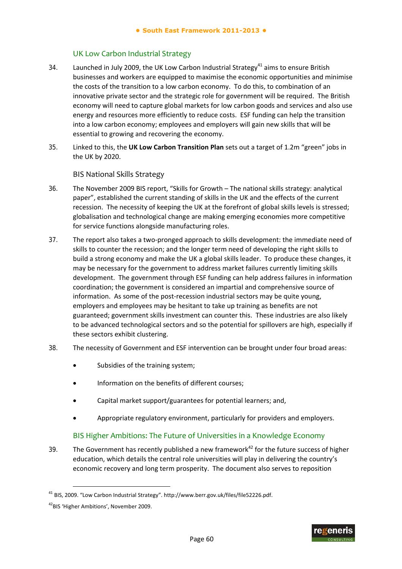#### UK Low Carbon Industrial Strategy

- 34. Launched in July 2009, the UK Low Carbon Industrial Strategy<sup>41</sup> aims to ensure British businesses and workers are equipped to maximise the economic opportunities and minimise the costs of the transition to a low carbon economy. To do this, to combination of an innovative private sector and the strategic role for government will be required. The British economy will need to capture global markets for low carbon goods and services and also use energy and resources more efficiently to reduce costs. ESF funding can help the transition into a low carbon economy; employees and employers will gain new skills that will be essential to growing and recovering the economy.
- 35. Linked to this, the **UK Low Carbon Transition Plan** sets out a target of 1.2m "green" jobs in the UK by 2020.

BIS National Skills Strategy

- 36. The November 2009 BIS report, "Skills for Growth The national skills strategy: analytical paper", established the current standing of skills in the UK and the effects of the current recession. The necessity of keeping the UK at the forefront of global skills levels is stressed; globalisation and technological change are making emerging economies more competitive for service functions alongside manufacturing roles.
- 37. The report also takes a two-pronged approach to skills development: the immediate need of skills to counter the recession; and the longer term need of developing the right skills to build a strong economy and make the UK a global skills leader. To produce these changes, it may be necessary for the government to address market failures currently limiting skills development. The government through ESF funding can help address failures in information coordination; the government is considered an impartial and comprehensive source of information. As some of the post-recession industrial sectors may be quite young, employers and employees may be hesitant to take up training as benefits are not guaranteed; government skills investment can counter this. These industries are also likely to be advanced technological sectors and so the potential for spillovers are high, especially if these sectors exhibit clustering.
- 38. The necessity of Government and ESF intervention can be brought under four broad areas:
	- Subsidies of the training system;
	- Information on the benefits of different courses;
	- Capital market support/guarantees for potential learners; and,
	- Appropriate regulatory environment, particularly for providers and employers.

## BIS Higher Ambitions: The Future of Universities in a Knowledge Economy

39. The Government has recently published a new framework<sup>42</sup> for the future success of higher education, which details the central role universities will play in delivering the country's economic recovery and long term prosperity. The document also serves to reposition



<sup>41</sup> BIS, 2009. "Low Carbon Industrial Strategy". http://www.berr.gov.uk/files/file52226.pdf.

<sup>&</sup>lt;sup>42</sup>BIS 'Higher Ambitions', November 2009.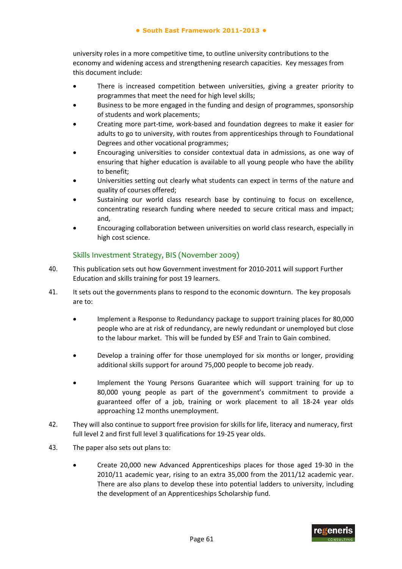university roles in a more competitive time, to outline university contributions to the economy and widening access and strengthening research capacities. Key messages from this document include:

- There is increased competition between universities, giving a greater priority to programmes that meet the need for high level skills;
- Business to be more engaged in the funding and design of programmes, sponsorship of students and work placements;
- Creating more part‐time, work‐based and foundation degrees to make it easier for adults to go to university, with routes from apprenticeships through to Foundational Degrees and other vocational programmes;
- Encouraging universities to consider contextual data in admissions, as one way of ensuring that higher education is available to all young people who have the ability to benefit;
- Universities setting out clearly what students can expect in terms of the nature and quality of courses offered;
- Sustaining our world class research base by continuing to focus on excellence, concentrating research funding where needed to secure critical mass and impact; and,
- Encouraging collaboration between universities on world class research, especially in high cost science.

## Skills Investment Strategy, BIS (November 2009)

- 40. This publication sets out how Government investment for 2010‐2011 will support Further Education and skills training for post 19 learners.
- 41. It sets out the governments plans to respond to the economic downturn. The key proposals are to:
	- Implement a Response to Redundancy package to support training places for 80,000 people who are at risk of redundancy, are newly redundant or unemployed but close to the labour market. This will be funded by ESF and Train to Gain combined.
	- Develop a training offer for those unemployed for six months or longer, providing additional skills support for around 75,000 people to become job ready.
	- Implement the Young Persons Guarantee which will support training for up to 80,000 young people as part of the government's commitment to provide a guaranteed offer of a job, training or work placement to all 18‐24 year olds approaching 12 months unemployment.
- 42. They will also continue to support free provision for skills for life, literacy and numeracy, first full level 2 and first full level 3 qualifications for 19‐25 year olds.
- 43. The paper also sets out plans to:
	- Create 20,000 new Advanced Apprenticeships places for those aged 19‐30 in the 2010/11 academic year, rising to an extra 35,000 from the 2011/12 academic year. There are also plans to develop these into potential ladders to university, including the development of an Apprenticeships Scholarship fund.

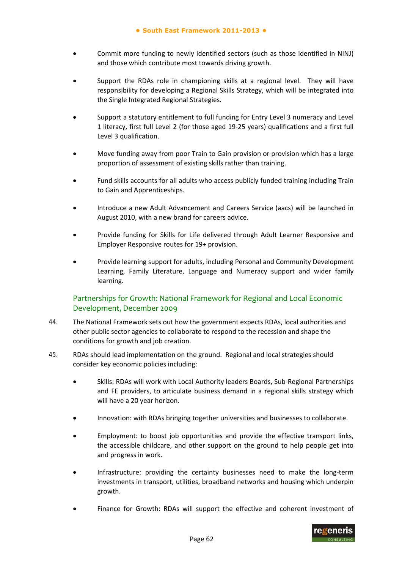- Commit more funding to newly identified sectors (such as those identified in NINJ) and those which contribute most towards driving growth.
- Support the RDAs role in championing skills at a regional level. They will have responsibility for developing a Regional Skills Strategy, which will be integrated into the Single Integrated Regional Strategies.
- Support a statutory entitlement to full funding for Entry Level 3 numeracy and Level 1 literacy, first full Level 2 (for those aged 19‐25 years) qualifications and a first full Level 3 qualification.
- Move funding away from poor Train to Gain provision or provision which has a large proportion of assessment of existing skills rather than training.
- Fund skills accounts for all adults who access publicly funded training including Train to Gain and Apprenticeships.
- Introduce a new Adult Advancement and Careers Service (aacs) will be launched in August 2010, with a new brand for careers advice.
- Provide funding for Skills for Life delivered through Adult Learner Responsive and Employer Responsive routes for 19+ provision.
- Provide learning support for adults, including Personal and Community Development Learning, Family Literature, Language and Numeracy support and wider family learning.

## Partnerships for Growth: National Framework for Regional and Local Economic Development, December 2009

- 44. The National Framework sets out how the government expects RDAs, local authorities and other public sector agencies to collaborate to respond to the recession and shape the conditions for growth and job creation.
- 45. RDAs should lead implementation on the ground. Regional and local strategies should consider key economic policies including:
	- Skills: RDAs will work with Local Authority leaders Boards, Sub‐Regional Partnerships and FE providers, to articulate business demand in a regional skills strategy which will have a 20 year horizon.
	- Innovation: with RDAs bringing together universities and businesses to collaborate.
	- Employment: to boost job opportunities and provide the effective transport links, the accessible childcare, and other support on the ground to help people get into and progress in work.
	- Infrastructure: providing the certainty businesses need to make the long‐term investments in transport, utilities, broadband networks and housing which underpin growth.
	- Finance for Growth: RDAs will support the effective and coherent investment of

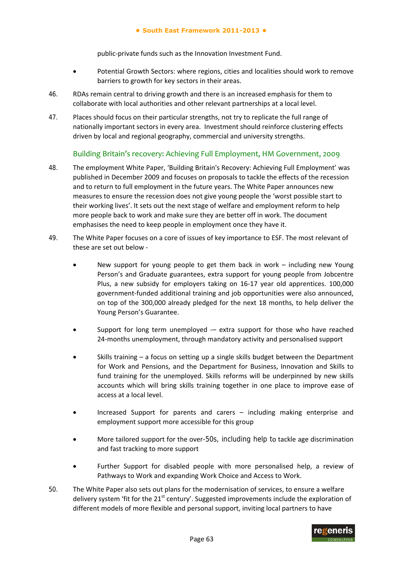#### **● South East Framework 2011-2013 ●**

public‐private funds such as the Innovation Investment Fund.

- Potential Growth Sectors: where regions, cities and localities should work to remove barriers to growth for key sectors in their areas.
- 46. RDAs remain central to driving growth and there is an increased emphasis for them to collaborate with local authorities and other relevant partnerships at a local level.
- 47. Places should focus on their particular strengths, not try to replicate the full range of nationally important sectors in every area. Investment should reinforce clustering effects driven by local and regional geography, commercial and university strengths.

## Building Britain's recovery: Achieving Full Employment, HM Government, 2009

- 48. The employment White Paper, 'Building Britain's Recovery: Achieving Full Employment' was published in December 2009 and focuses on proposals to tackle the effects of the recession and to return to full employment in the future years. The White Paper announces new measures to ensure the recession does not give young people the 'worst possible start to their working lives'. It sets out the next stage of welfare and employment reform to help more people back to work and make sure they are better off in work. The document emphasises the need to keep people in employment once they have it.
- 49. The White Paper focuses on a core of issues of key importance to ESF. The most relevant of these are set out below ‐
	- New support for young people to get them back in work including new Young Person's and Graduate guarantees, extra support for young people from Jobcentre Plus, a new subsidy for employers taking on 16‐17 year old apprentices. 100,000 government‐funded additional training and job opportunities were also announced, on top of the 300,000 already pledged for the next 18 months, to help deliver the Young Person's Guarantee.
	- Support for long term unemployed  $-$  extra support for those who have reached 24‐months unemployment, through mandatory activity and personalised support
	- Skills training a focus on setting up a single skills budget between the Department for Work and Pensions, and the Department for Business, Innovation and Skills to fund training for the unemployed. Skills reforms will be underpinned by new skills accounts which will bring skills training together in one place to improve ease of access at a local level.
	- Increased Support for parents and carers including making enterprise and employment support more accessible for this group
	- More tailored support for the over-50s, including help to tackle age discrimination and fast tracking to more support
	- Further Support for disabled people with more personalised help, a review of Pathways to Work and expanding Work Choice and Access to Work.
- 50. The White Paper also sets out plans for the modernisation of services, to ensure a welfare delivery system 'fit for the  $21<sup>st</sup>$  century'. Suggested improvements include the exploration of different models of more flexible and personal support, inviting local partners to have

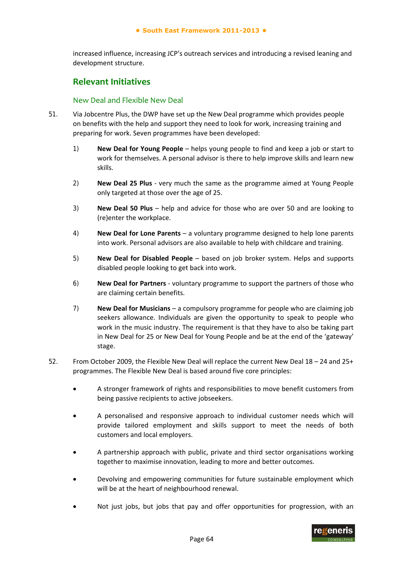increased influence, increasing JCP's outreach services and introducing a revised leaning and development structure.

## **Relevant Initiatives**

#### New Deal and Flexible New Deal

- 51. Via Jobcentre Plus, the DWP have set up the New Deal programme which provides people on benefits with the help and support they need to look for work, increasing training and preparing for work. Seven programmes have been developed:
	- 1) **New Deal for Young People** helps young people to find and keep a job or start to work for themselves. A personal advisor is there to help improve skills and learn new skills.
	- 2) **New Deal 25 Plus** ‐ very much the same as the programme aimed at Young People only targeted at those over the age of 25.
	- 3) **New Deal 50 Plus** help and advice for those who are over 50 and are looking to (re)enter the workplace.
	- 4) **New Deal for Lone Parents** a voluntary programme designed to help lone parents into work. Personal advisors are also available to help with childcare and training.
	- 5) **New Deal for Disabled People** based on job broker system. Helps and supports disabled people looking to get back into work.
	- 6) **New Deal for Partners** ‐ voluntary programme to support the partners of those who are claiming certain benefits.
	- 7) **New Deal for Musicians** a compulsory programme for people who are claiming job seekers allowance. Individuals are given the opportunity to speak to people who work in the music industry. The requirement is that they have to also be taking part in New Deal for 25 or New Deal for Young People and be at the end of the 'gateway' stage.
- 52. From October 2009, the Flexible New Deal will replace the current New Deal 18 24 and 25+ programmes. The Flexible New Deal is based around five core principles:
	- A stronger framework of rights and responsibilities to move benefit customers from being passive recipients to active jobseekers.
	- A personalised and responsive approach to individual customer needs which will provide tailored employment and skills support to meet the needs of both customers and local employers.
	- A partnership approach with public, private and third sector organisations working together to maximise innovation, leading to more and better outcomes.
	- Devolving and empowering communities for future sustainable employment which will be at the heart of neighbourhood renewal.
	- Not just jobs, but jobs that pay and offer opportunities for progression, with an

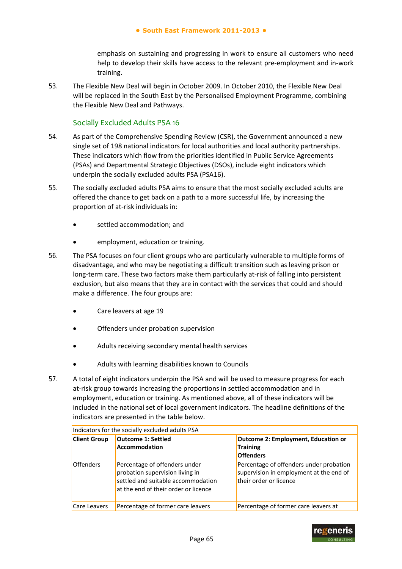emphasis on sustaining and progressing in work to ensure all customers who need help to develop their skills have access to the relevant pre-employment and in-work training.

53. The Flexible New Deal will begin in October 2009. In October 2010, the Flexible New Deal will be replaced in the South East by the Personalised Employment Programme, combining the Flexible New Deal and Pathways.

### Socially Excluded Adults PSA 16

- 54. As part of the Comprehensive Spending Review (CSR), the Government announced a new single set of 198 national indicators for local authorities and local authority partnerships. These indicators which flow from the priorities identified in Public Service Agreements (PSAs) and Departmental Strategic Objectives (DSOs), include eight indicators which underpin the socially excluded adults PSA (PSA16).
- 55. The socially excluded adults PSA aims to ensure that the most socially excluded adults are offered the chance to get back on a path to a more successful life, by increasing the proportion of at‐risk individuals in:
	- settled accommodation; and
	- employment, education or training.
- 56. The PSA focuses on four client groups who are particularly vulnerable to multiple forms of disadvantage, and who may be negotiating a difficult transition such as leaving prison or long-term care. These two factors make them particularly at-risk of falling into persistent exclusion, but also means that they are in contact with the services that could and should make a difference. The four groups are:
	- Care leavers at age 19
	- Offenders under probation supervision
	- Adults receiving secondary mental health services
	- Adults with learning disabilities known to Councils
- 57. A total of eight indicators underpin the PSA and will be used to measure progress for each at-risk group towards increasing the proportions in settled accommodation and in employment, education or training. As mentioned above, all of these indicators will be included in the national set of local government indicators. The headline definitions of the indicators are presented in the table below.

| Indicators for the socially excluded adults PSA |                                                                                                                                                |                                                                                                              |
|-------------------------------------------------|------------------------------------------------------------------------------------------------------------------------------------------------|--------------------------------------------------------------------------------------------------------------|
| <b>Client Group</b>                             | <b>Outcome 1: Settled</b><br>Accommodation                                                                                                     | Outcome 2: Employment, Education or<br>Training<br><b>Offenders</b>                                          |
| <b>Offenders</b>                                | Percentage of offenders under<br>probation supervision living in<br>settled and suitable accommodation<br>at the end of their order or licence | Percentage of offenders under probation<br>supervision in employment at the end of<br>their order or licence |
| Care Leavers                                    | Percentage of former care leavers                                                                                                              | Percentage of former care leavers at                                                                         |

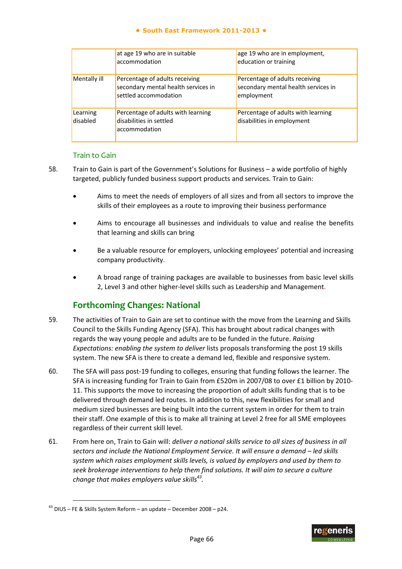#### **● South East Framework 2011-2013 ●**

|                      | at age 19 who are in suitable<br>accommodation                                                 | age 19 who are in employment,<br>education or training                              |
|----------------------|------------------------------------------------------------------------------------------------|-------------------------------------------------------------------------------------|
| Mentally ill         | Percentage of adults receiving<br>secondary mental health services in<br>settled accommodation | Percentage of adults receiving<br>secondary mental health services in<br>employment |
| Learning<br>disabled | Percentage of adults with learning<br>disabilities in settled<br>accommodation                 | Percentage of adults with learning<br>disabilities in employment                    |

## Train to Gain

- 58. Train to Gain is part of the Government's Solutions for Business a wide portfolio of highly targeted, publicly funded business support products and services. Train to Gain:
	- Aims to meet the needs of employers of all sizes and from all sectors to improve the skills of their employees as a route to improving their business performance
	- Aims to encourage all businesses and individuals to value and realise the benefits that learning and skills can bring
	- Be a valuable resource for employers, unlocking employees' potential and increasing company productivity.
	- A broad range of training packages are available to businesses from basic level skills 2, Level 3 and other higher‐level skills such as Leadership and Management.

## **Forthcoming Changes: National**

- 59. The activities of Train to Gain are set to continue with the move from the Learning and Skills Council to the Skills Funding Agency (SFA). This has brought about radical changes with regards the way young people and adults are to be funded in the future. *Raising Expectations: enabling the system to deliver* lists proposals transforming the post 19 skills system. The new SFA is there to create a demand led, flexible and responsive system.
- 60. The SFA will pass post‐19 funding to colleges, ensuring that funding follows the learner. The SFA is increasing funding for Train to Gain from £520m in 2007/08 to over £1 billion by 2010‐ 11. This supports the move to increasing the proportion of adult skills funding that is to be delivered through demand led routes. In addition to this, new flexibilities for small and medium sized businesses are being built into the current system in order for them to train their staff. One example of this is to make all training at Level 2 free for all SME employees regardless of their current skill level.
- 61. From here on, Train to Gain will: *deliver a national skills service to all sizes of business in all sectors and include the National Employment Service. It will ensure a demand – led skills system which raises employment skills levels, is valued by employers and used by them to seek brokerage interventions to help them find solutions. It will aim to secure a culture change that makes employers value skills43.*

-



 $43$  DIUS – FE & Skills System Reform – an update – December 2008 – p24.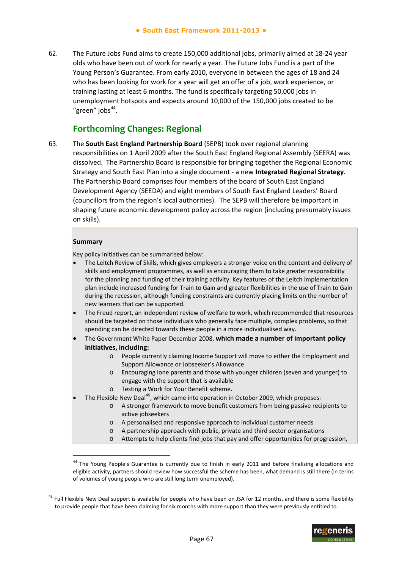62. The Future Jobs Fund aims to create 150,000 additional jobs, primarily aimed at 18‐24 year olds who have been out of work for nearly a year. The Future Jobs Fund is a part of the Young Person's Guarantee. From early 2010, everyone in between the ages of 18 and 24 who has been looking for work for a year will get an offer of a job, work experience, or training lasting at least 6 months. The fund is specifically targeting 50,000 jobs in unemployment hotspots and expects around 10,000 of the 150,000 jobs created to be "green" jobs $44$ .

## **Forthcoming Changes: Regional**

63. The **South East England Partnership Board** (SEPB) took over regional planning responsibilities on 1 April 2009 after the South East England Regional Assembly (SEERA) was dissolved. The Partnership Board is responsible for bringing together the Regional Economic Strategy and South East Plan into a single document ‐ a new **Integrated Regional Strategy**. The Partnership Board comprises four members of the board of South East England Development Agency (SEEDA) and eight members of South East England Leaders' Board (councillors from the region's local authorities). The SEPB will therefore be important in shaping future economic development policy across the region (including presumably issues on skills).

#### **Summary**

-

Key policy initiatives can be summarised below:

- The Leitch Review of Skills, which gives employers a stronger voice on the content and delivery of skills and employment programmes, as well as encouraging them to take greater responsibility for the planning and funding of their training activity. Key features of the Leitch implementation plan include increased funding for Train to Gain and greater flexibilities in the use of Train to Gain during the recession, although funding constraints are currently placing limits on the number of new learners that can be supported.
- The Freud report, an independent review of welfare to work, which recommended that resources should be targeted on those individuals who generally face multiple, complex problems, so that spending can be directed towards these people in a more individualised way.
- The Government White Paper December 2008, **which made a number of important policy initiatives, including:**
	- o People currently claiming Income Support will move to either the Employment and Support Allowance or Jobseeker's Allowance
	- o Encouraging lone parents and those with younger children (seven and younger) to engage with the support that is available
	- o Testing a Work for Your Benefit scheme.
- The Flexible New Deal<sup>45</sup>, which came into operation in October 2009, which proposes:
	- o A stronger framework to move benefit customers from being passive recipients to active jobseekers
	- o A personalised and responsive approach to individual customer needs
	- o A partnership approach with public, private and third sector organisations
	- o Attempts to help clients find jobs that pay and offer opportunities for progression,

<sup>&</sup>lt;sup>45</sup> Full Flexible New Deal support is available for people who have been on JSA for 12 months, and there is some flexibility to provide people that have been claiming for six months with more support than they were previously entitled to.



<sup>&</sup>lt;sup>44</sup> The Young People's Guarantee is currently due to finish in early 2011 and before finalising allocations and eligible activity, partners should review how successful the scheme has been, what demand is still there (in terms of volumes of young people who are still long term unemployed).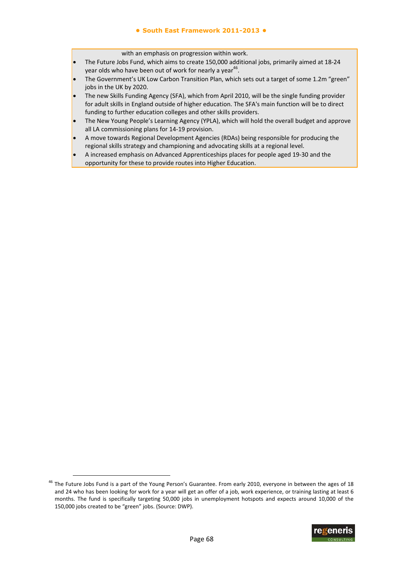with an emphasis on progression within work.

- The Future Jobs Fund, which aims to create 150,000 additional jobs, primarily aimed at 18‐24 year olds who have been out of work for nearly a year<sup>46</sup>.
- The Government's UK Low Carbon Transition Plan, which sets out a target of some 1.2m "green" jobs in the UK by 2020.
- The new Skills Funding Agency (SFA), which from April 2010, will be the single funding provider for adult skills in England outside of higher education. The SFA's main function will be to direct funding to further education colleges and other skills providers.
- The New Young People's Learning Agency (YPLA), which will hold the overall budget and approve all LA commissioning plans for 14‐19 provision.
- A move towards Regional Development Agencies (RDAs) being responsible for producing the regional skills strategy and championing and advocating skills at a regional level.
- A increased emphasis on Advanced Apprenticeships places for people aged 19‐30 and the opportunity for these to provide routes into Higher Education.

-



<sup>&</sup>lt;sup>46</sup> The Future Jobs Fund is a part of the Young Person's Guarantee. From early 2010, everyone in between the ages of 18 and 24 who has been looking for work for a year will get an offer of a job, work experience, or training lasting at least 6 months. The fund is specifically targeting 50,000 jobs in unemployment hotspots and expects around 10,000 of the 150,000 jobs created to be "green" jobs. (Source: DWP).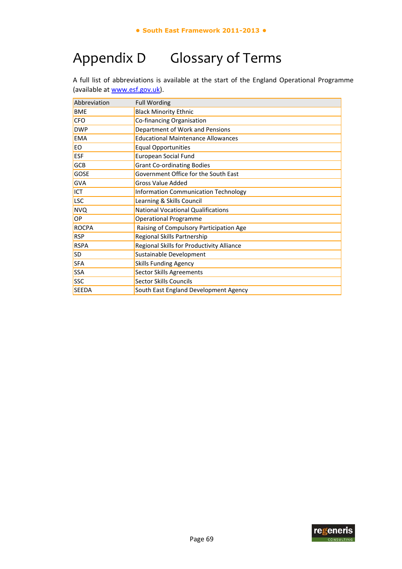# Appendix D Glossary of Terms

A full list of abbreviations is available at the start of the England Operational Programme (available at www.esf.gov.uk).

| Abbreviation | <b>Full Wording</b>                         |
|--------------|---------------------------------------------|
| <b>BME</b>   | <b>Black Minority Ethnic</b>                |
| <b>CFO</b>   | Co-financing Organisation                   |
| <b>DWP</b>   | Department of Work and Pensions             |
| <b>EMA</b>   | <b>Educational Maintenance Allowances</b>   |
| EO.          | <b>Equal Opportunities</b>                  |
| <b>ESF</b>   | <b>European Social Fund</b>                 |
| <b>GCB</b>   | <b>Grant Co-ordinating Bodies</b>           |
| <b>GOSE</b>  | Government Office for the South East        |
| <b>GVA</b>   | <b>Gross Value Added</b>                    |
| <b>ICT</b>   | <b>Information Communication Technology</b> |
| <b>LSC</b>   | Learning & Skills Council                   |
| <b>NVQ</b>   | <b>National Vocational Qualifications</b>   |
| OP           | <b>Operational Programme</b>                |
| <b>ROCPA</b> | Raising of Compulsory Participation Age     |
| <b>RSP</b>   | Regional Skills Partnership                 |
| <b>RSPA</b>  | Regional Skills for Productivity Alliance   |
| <b>SD</b>    | Sustainable Development                     |
| <b>SFA</b>   | <b>Skills Funding Agency</b>                |
| <b>SSA</b>   | <b>Sector Skills Agreements</b>             |
| <b>SSC</b>   | Sector Skills Councils                      |
| <b>SEEDA</b> | South East England Development Agency       |

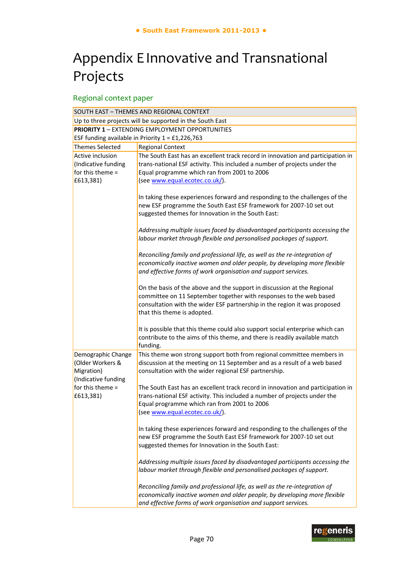## Appendix EInnovative and Transnational Projects

## Regional context paper

| SOUTH EAST - THEMES AND REGIONAL CONTEXT                                    |                                                                                                                                                                                                                                                           |  |
|-----------------------------------------------------------------------------|-----------------------------------------------------------------------------------------------------------------------------------------------------------------------------------------------------------------------------------------------------------|--|
| Up to three projects will be supported in the South East                    |                                                                                                                                                                                                                                                           |  |
| <b>PRIORITY 1 - EXTENDING EMPLOYMENT OPPORTUNITIES</b>                      |                                                                                                                                                                                                                                                           |  |
|                                                                             | ESF funding available in Priority $1 = £1,226,763$                                                                                                                                                                                                        |  |
| <b>Themes Selected</b>                                                      | <b>Regional Context</b>                                                                                                                                                                                                                                   |  |
| Active inclusion                                                            | The South East has an excellent track record in innovation and participation in                                                                                                                                                                           |  |
| (Indicative funding                                                         | trans-national ESF activity. This included a number of projects under the                                                                                                                                                                                 |  |
| for this theme $=$                                                          | Equal programme which ran from 2001 to 2006                                                                                                                                                                                                               |  |
| £613,381)                                                                   | (see www.equal.ecotec.co.uk/).                                                                                                                                                                                                                            |  |
|                                                                             | In taking these experiences forward and responding to the challenges of the<br>new ESF programme the South East ESF framework for 2007-10 set out<br>suggested themes for Innovation in the South East:                                                   |  |
|                                                                             | Addressing multiple issues faced by disadvantaged participants accessing the<br>labour market through flexible and personalised packages of support.                                                                                                      |  |
|                                                                             | Reconciling family and professional life, as well as the re-integration of<br>economically inactive women and older people, by developing more flexible<br>and effective forms of work organisation and support services.                                 |  |
|                                                                             | On the basis of the above and the support in discussion at the Regional<br>committee on 11 September together with responses to the web based<br>consultation with the wider ESF partnership in the region it was proposed<br>that this theme is adopted. |  |
|                                                                             | It is possible that this theme could also support social enterprise which can<br>contribute to the aims of this theme, and there is readily available match<br>funding.                                                                                   |  |
| Demographic Change<br>(Older Workers &<br>Migration)<br>(Indicative funding | This theme won strong support both from regional committee members in<br>discussion at the meeting on 11 September and as a result of a web based<br>consultation with the wider regional ESF partnership.                                                |  |
| for this theme $=$<br>£613,381)                                             | The South East has an excellent track record in innovation and participation in<br>trans-national ESF activity. This included a number of projects under the<br>Equal programme which ran from 2001 to 2006<br>(see www.equal.ecotec.co.uk/)              |  |
|                                                                             | In taking these experiences forward and responding to the challenges of the<br>new ESF programme the South East ESF framework for 2007-10 set out<br>suggested themes for Innovation in the South East:                                                   |  |
|                                                                             | Addressing multiple issues faced by disadvantaged participants accessing the<br>labour market through flexible and personalised packages of support.                                                                                                      |  |
|                                                                             | Reconciling family and professional life, as well as the re-integration of<br>economically inactive women and older people, by developing more flexible<br>and effective forms of work organisation and support services.                                 |  |